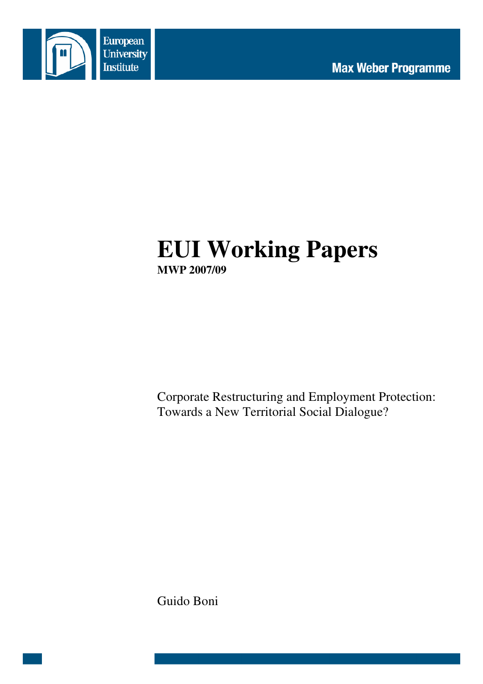

# **EUI Working Papers MWP 2007/09**

Corporate Restructuring and Employment Protection: Towards a New Territorial Social Dialogue?

Guido Boni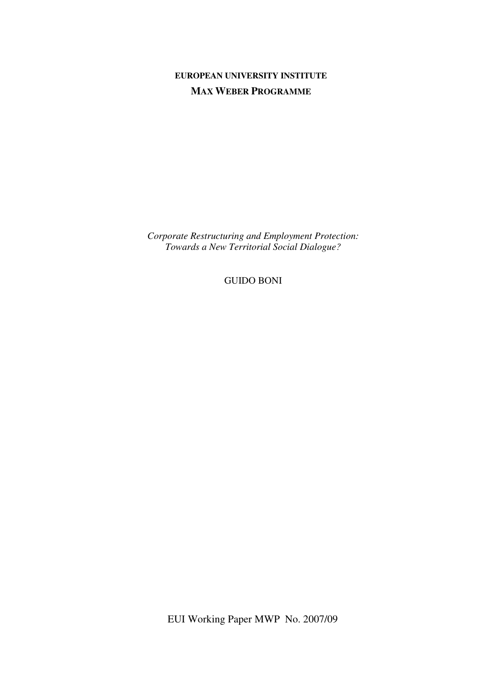# **EUROPEAN UNIVERSITY INSTITUTE MAX WEBER PROGRAMME**

*Corporate Restructuring and Employment Protection: Towards a New Territorial Social Dialogue?* 

GUIDO BONI

EUI Working Paper MWP No. 2007/09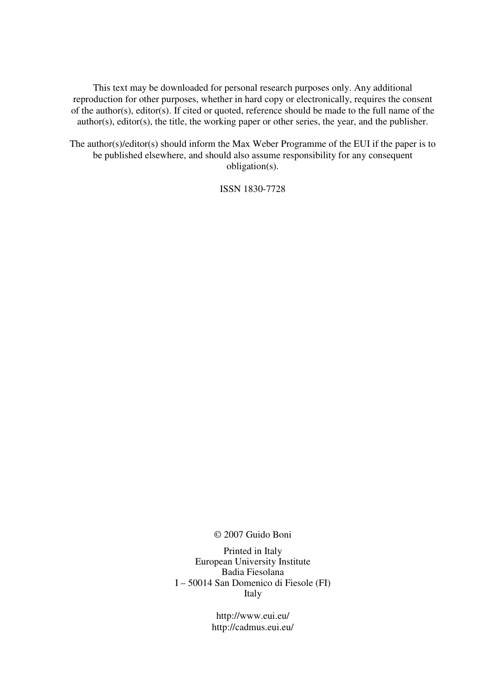This text may be downloaded for personal research purposes only. Any additional reproduction for other purposes, whether in hard copy or electronically, requires the consent of the author(s), editor(s). If cited or quoted, reference should be made to the full name of the author(s), editor(s), the title, the working paper or other series, the year, and the publisher.

The author(s)/editor(s) should inform the Max Weber Programme of the EUI if the paper is to be published elsewhere, and should also assume responsibility for any consequent obligation(s).

ISSN 1830-7728

© 2007 Guido Boni

Printed in Italy European University Institute Badia Fiesolana I – 50014 San Domenico di Fiesole (FI) Italy

> http://www.eui.eu/ http://cadmus.eui.eu/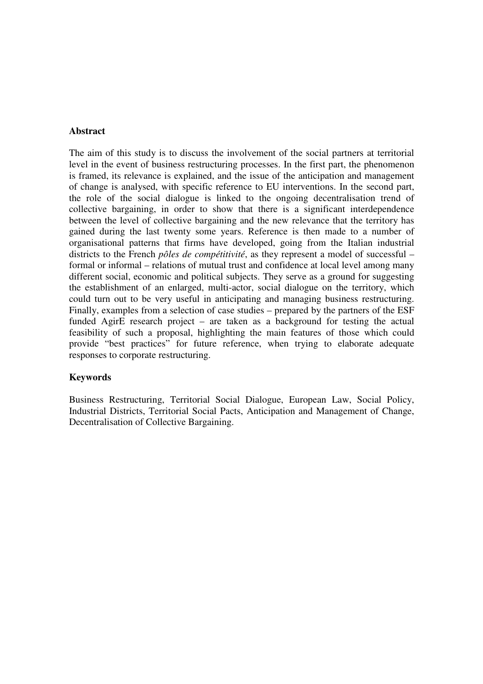#### **Abstract**

The aim of this study is to discuss the involvement of the social partners at territorial level in the event of business restructuring processes. In the first part, the phenomenon is framed, its relevance is explained, and the issue of the anticipation and management of change is analysed, with specific reference to EU interventions. In the second part, the role of the social dialogue is linked to the ongoing decentralisation trend of collective bargaining, in order to show that there is a significant interdependence between the level of collective bargaining and the new relevance that the territory has gained during the last twenty some years. Reference is then made to a number of organisational patterns that firms have developed, going from the Italian industrial districts to the French *pôles de compétitivité*, as they represent a model of successful – formal or informal – relations of mutual trust and confidence at local level among many different social, economic and political subjects. They serve as a ground for suggesting the establishment of an enlarged, multi-actor, social dialogue on the territory, which could turn out to be very useful in anticipating and managing business restructuring. Finally, examples from a selection of case studies – prepared by the partners of the ESF funded AgirE research project – are taken as a background for testing the actual feasibility of such a proposal, highlighting the main features of those which could provide "best practices" for future reference, when trying to elaborate adequate responses to corporate restructuring.

#### **Keywords**

Business Restructuring, Territorial Social Dialogue, European Law, Social Policy, Industrial Districts, Territorial Social Pacts, Anticipation and Management of Change, Decentralisation of Collective Bargaining.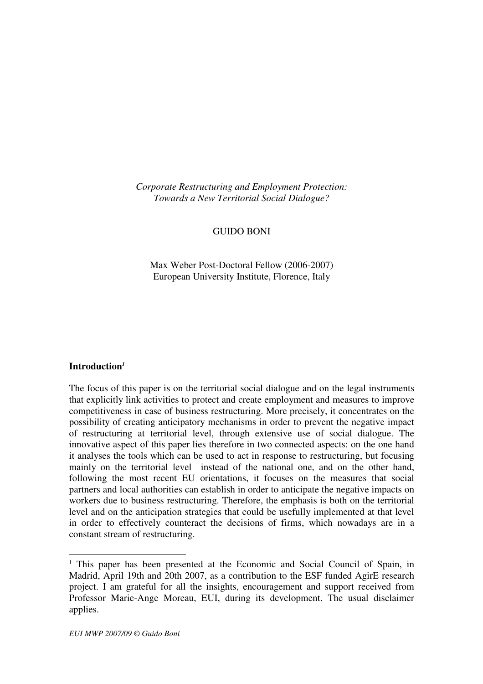*Corporate Restructuring and Employment Protection: Towards a New Territorial Social Dialogue?* 

# GUIDO BONI

Max Weber Post-Doctoral Fellow (2006-2007) European University Institute, Florence, Italy

#### **Introduction***<sup>1</sup>*

 $\overline{a}$ 

The focus of this paper is on the territorial social dialogue and on the legal instruments that explicitly link activities to protect and create employment and measures to improve competitiveness in case of business restructuring. More precisely, it concentrates on the possibility of creating anticipatory mechanisms in order to prevent the negative impact of restructuring at territorial level, through extensive use of social dialogue. The innovative aspect of this paper lies therefore in two connected aspects: on the one hand it analyses the tools which can be used to act in response to restructuring, but focusing mainly on the territorial level instead of the national one, and on the other hand, following the most recent EU orientations, it focuses on the measures that social partners and local authorities can establish in order to anticipate the negative impacts on workers due to business restructuring. Therefore, the emphasis is both on the territorial level and on the anticipation strategies that could be usefully implemented at that level in order to effectively counteract the decisions of firms, which nowadays are in a constant stream of restructuring.

<sup>&</sup>lt;sup>1</sup> This paper has been presented at the Economic and Social Council of Spain, in Madrid, April 19th and 20th 2007, as a contribution to the ESF funded AgirE research project. I am grateful for all the insights, encouragement and support received from Professor Marie-Ange Moreau, EUI, during its development. The usual disclaimer applies.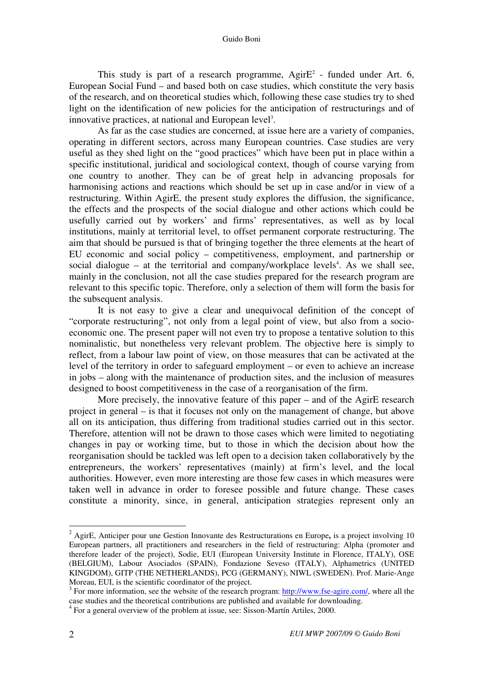This study is part of a research programme,  $\text{Agir}E^2$  - funded under Art. 6, European Social Fund – and based both on case studies, which constitute the very basis of the research, and on theoretical studies which, following these case studies try to shed light on the identification of new policies for the anticipation of restructurings and of innovative practices, at national and European level<sup>3</sup>.

As far as the case studies are concerned, at issue here are a variety of companies, operating in different sectors, across many European countries. Case studies are very useful as they shed light on the "good practices" which have been put in place within a specific institutional, juridical and sociological context, though of course varying from one country to another. They can be of great help in advancing proposals for harmonising actions and reactions which should be set up in case and/or in view of a restructuring. Within AgirE, the present study explores the diffusion, the significance, the effects and the prospects of the social dialogue and other actions which could be usefully carried out by workers' and firms' representatives, as well as by local institutions, mainly at territorial level, to offset permanent corporate restructuring. The aim that should be pursued is that of bringing together the three elements at the heart of EU economic and social policy – competitiveness, employment, and partnership or social dialogue – at the territorial and company/workplace levels<sup>4</sup>. As we shall see, mainly in the conclusion, not all the case studies prepared for the research program are relevant to this specific topic. Therefore, only a selection of them will form the basis for the subsequent analysis.

It is not easy to give a clear and unequivocal definition of the concept of "corporate restructuring", not only from a legal point of view, but also from a socioeconomic one. The present paper will not even try to propose a tentative solution to this nominalistic, but nonetheless very relevant problem. The objective here is simply to reflect, from a labour law point of view, on those measures that can be activated at the level of the territory in order to safeguard employment – or even to achieve an increase in jobs – along with the maintenance of production sites, and the inclusion of measures designed to boost competitiveness in the case of a reorganisation of the firm.

More precisely, the innovative feature of this paper – and of the AgirE research project in general – is that it focuses not only on the management of change, but above all on its anticipation, thus differing from traditional studies carried out in this sector. Therefore, attention will not be drawn to those cases which were limited to negotiating changes in pay or working time, but to those in which the decision about how the reorganisation should be tackled was left open to a decision taken collaboratively by the entrepreneurs, the workers' representatives (mainly) at firm's level, and the local authorities. However, even more interesting are those few cases in which measures were taken well in advance in order to foresee possible and future change. These cases constitute a minority, since, in general, anticipation strategies represent only an

<sup>2</sup> AgirE, Anticiper pour une Gestion Innovante des Restructurations en Europe**,** is a project involving 10 European partners, all practitioners and researchers in the field of restructuring: Alpha (promoter and therefore leader of the project), Sodie, EUI (European University Institute in Florence, ITALY), OSE (BELGIUM), Labour Asociados (SPAIN), Fondazione Seveso (ITALY), Alphametrics (UNITED KINGDOM), GITP (THE NETHERLANDS), PCG (GERMANY), NIWL (SWEDEN). Prof. Marie-Ange Moreau, EUI, is the scientific coordinator of the project.

 $3$  For more information, see the website of the research program:  $\frac{http://www.fse-agire.com/}{http://www.fse-agire.com/},$  where all the case studies and the theoretical contributions are published and available for downloading.

<sup>&</sup>lt;sup>4</sup> For a general overview of the problem at issue, see: Sisson-Martín Artiles, 2000.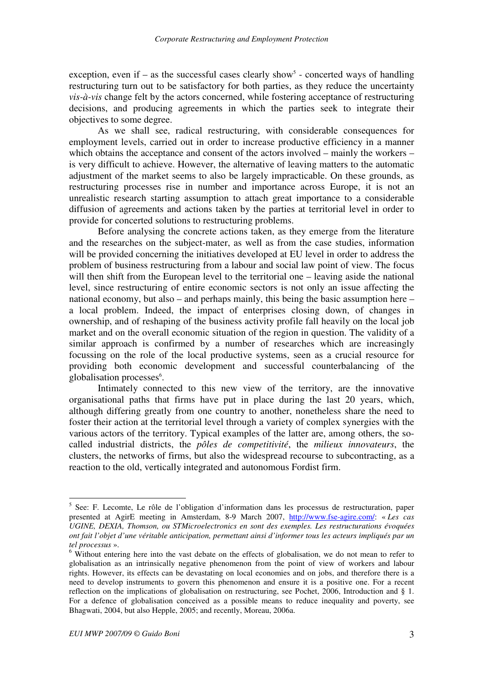exception, even if  $-$  as the successful cases clearly show<sup>5</sup> - concerted ways of handling restructuring turn out to be satisfactory for both parties, as they reduce the uncertainty *vis-à-vis* change felt by the actors concerned, while fostering acceptance of restructuring decisions, and producing agreements in which the parties seek to integrate their objectives to some degree.

As we shall see, radical restructuring, with considerable consequences for employment levels, carried out in order to increase productive efficiency in a manner which obtains the acceptance and consent of the actors involved – mainly the workers – is very difficult to achieve. However, the alternative of leaving matters to the automatic adjustment of the market seems to also be largely impracticable. On these grounds, as restructuring processes rise in number and importance across Europe, it is not an unrealistic research starting assumption to attach great importance to a considerable diffusion of agreements and actions taken by the parties at territorial level in order to provide for concerted solutions to restructuring problems.

Before analysing the concrete actions taken, as they emerge from the literature and the researches on the subject-mater, as well as from the case studies, information will be provided concerning the initiatives developed at EU level in order to address the problem of business restructuring from a labour and social law point of view. The focus will then shift from the European level to the territorial one – leaving aside the national level, since restructuring of entire economic sectors is not only an issue affecting the national economy, but also – and perhaps mainly, this being the basic assumption here – a local problem. Indeed, the impact of enterprises closing down, of changes in ownership, and of reshaping of the business activity profile fall heavily on the local job market and on the overall economic situation of the region in question. The validity of a similar approach is confirmed by a number of researches which are increasingly focussing on the role of the local productive systems, seen as a crucial resource for providing both economic development and successful counterbalancing of the globalisation processes<sup>6</sup>.

Intimately connected to this new view of the territory, are the innovative organisational paths that firms have put in place during the last 20 years, which, although differing greatly from one country to another, nonetheless share the need to foster their action at the territorial level through a variety of complex synergies with the various actors of the territory. Typical examples of the latter are, among others, the socalled industrial districts, the *pôles de competitivité*, the *milieux innovateurs*, the clusters, the networks of firms, but also the widespread recourse to subcontracting, as a reaction to the old, vertically integrated and autonomous Fordist firm.

 5 See: F. Lecomte, Le rôle de l'obligation d'information dans les processus de restructuration, paper presented at AgirE meeting in Amsterdam, 8-9 March 2007, http://www.fse-agire.com/: « *Les cas UGINE, DEXIA, Thomson, ou STMicroelectronics en sont des exemples. Les restructurations évoquées ont fait l'objet d'une véritable anticipation, permettant ainsi d'informer tous les acteurs impliqués par un tel processus* ».

 $6$  Without entering here into the vast debate on the effects of globalisation, we do not mean to refer to globalisation as an intrinsically negative phenomenon from the point of view of workers and labour rights. However, its effects can be devastating on local economies and on jobs, and therefore there is a need to develop instruments to govern this phenomenon and ensure it is a positive one. For a recent reflection on the implications of globalisation on restructuring, see Pochet, 2006, Introduction and § 1. For a defence of globalisation conceived as a possible means to reduce inequality and poverty, see Bhagwati, 2004, but also Hepple, 2005; and recently, Moreau, 2006a.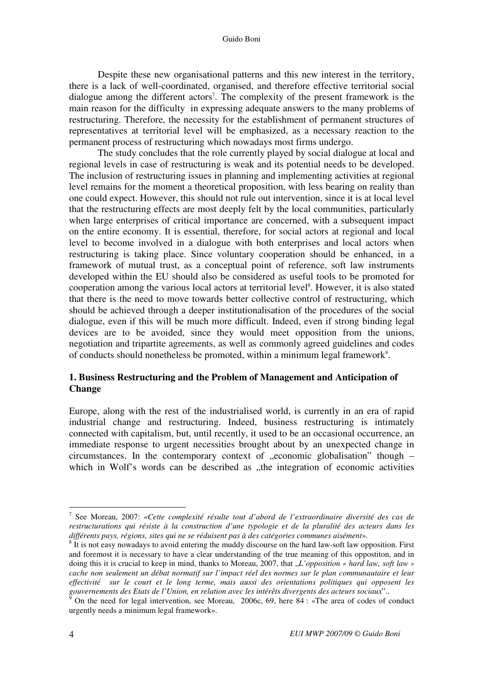Despite these new organisational patterns and this new interest in the territory, there is a lack of well-coordinated, organised, and therefore effective territorial social dialogue among the different actors<sup>7</sup>. The complexity of the present framework is the main reason for the difficulty in expressing adequate answers to the many problems of restructuring. Therefore, the necessity for the establishment of permanent structures of representatives at territorial level will be emphasized, as a necessary reaction to the permanent process of restructuring which nowadays most firms undergo.

The study concludes that the role currently played by social dialogue at local and regional levels in case of restructuring is weak and its potential needs to be developed. The inclusion of restructuring issues in planning and implementing activities at regional level remains for the moment a theoretical proposition, with less bearing on reality than one could expect. However, this should not rule out intervention, since it is at local level that the restructuring effects are most deeply felt by the local communities, particularly when large enterprises of critical importance are concerned, with a subsequent impact on the entire economy. It is essential, therefore, for social actors at regional and local level to become involved in a dialogue with both enterprises and local actors when restructuring is taking place. Since voluntary cooperation should be enhanced, in a framework of mutual trust, as a conceptual point of reference, soft law instruments developed within the EU should also be considered as useful tools to be promoted for cooperation among the various local actors at territorial level<sup>8</sup>. However, it is also stated that there is the need to move towards better collective control of restructuring, which should be achieved through a deeper institutionalisation of the procedures of the social dialogue, even if this will be much more difficult. Indeed, even if strong binding legal devices are to be avoided, since they would meet opposition from the unions, negotiation and tripartite agreements, as well as commonly agreed guidelines and codes of conducts should nonetheless be promoted, within a minimum legal framework<sup>9</sup>.

# **1. Business Restructuring and the Problem of Management and Anticipation of Change**

Europe, along with the rest of the industrialised world, is currently in an era of rapid industrial change and restructuring. Indeed, business restructuring is intimately connected with capitalism, but, until recently, it used to be an occasional occurrence, an immediate response to urgent necessities brought about by an unexpected change in circumstances. In the contemporary context of  $,$ economic globalisation" though – which in Wolf's words can be described as "the integration of economic activities"

<sup>7</sup> See Moreau, 2007: «*Cette complexité résulte tout d'abord de l'extraordinaire diversité des cas de restructurations qui résiste à la construction d'une typologie et de la pluralité des acteurs dans les différents pays, régions, sites qui ne se réduisent pas à des catégories communes aisément*».

 $8\,$  It is not easy nowadays to avoid entering the muddy discourse on the hard law-soft law opposition. First and foremost it is necessary to have a clear understanding of the true meaning of this oppostiton, and in doing this it is crucial to keep in mind, thanks to Moreau, 2007, that "*L'opposition « hard law, soft law » cache non seulement un débat normatif sur l'impact réel des normes sur le plan communautaire et leur effectivité sur le court et le long terme, mais aussi des orientations politiques qui opposent les gouvernements des Etats de l'Union, en relation avec les intérêts divergents des acteurs sociaux*"..

 $\frac{3}{9}$  On the need for legal intervention, see Moreau, 2006c, 69, here 84 : «The area of codes of conduct urgently needs a minimum legal framework».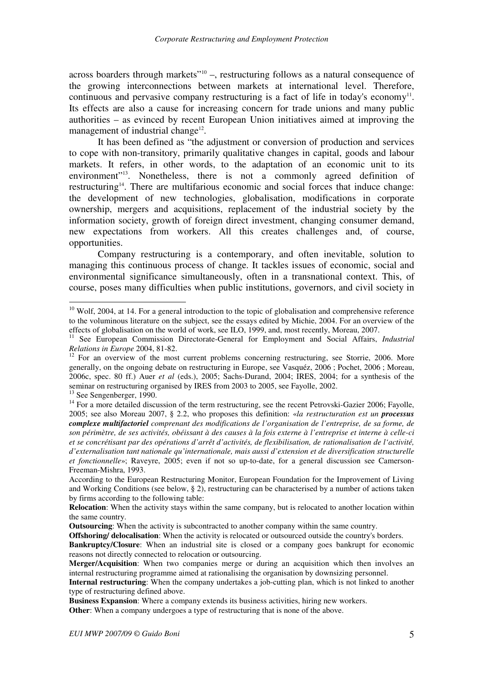across boarders through markets"<sup>10</sup> -, restructuring follows as a natural consequence of the growing interconnections between markets at international level. Therefore, continuous and pervasive company restructuring is a fact of life in today's economy $^{11}$ . Its effects are also a cause for increasing concern for trade unions and many public authorities – as evinced by recent European Union initiatives aimed at improving the management of industrial change<sup>12</sup>.

It has been defined as "the adjustment or conversion of production and services to cope with non-transitory, primarily qualitative changes in capital, goods and labour markets. It refers, in other words, to the adaptation of an economic unit to its environment"<sup>13</sup>. Nonetheless, there is not a commonly agreed definition of restructuring<sup>14</sup>. There are multifarious economic and social forces that induce change: the development of new technologies, globalisation, modifications in corporate ownership, mergers and acquisitions, replacement of the industrial society by the information society, growth of foreign direct investment, changing consumer demand, new expectations from workers. All this creates challenges and, of course, opportunities.

Company restructuring is a contemporary, and often inevitable, solution to managing this continuous process of change. It tackles issues of economic, social and environmental significance simultaneously, often in a transnational context. This, of course, poses many difficulties when public institutions, governors, and civil society in

 $10$  Wolf, 2004, at 14. For a general introduction to the topic of globalisation and comprehensive reference to the voluminous literature on the subject, see the essays edited by Michie, 2004. For an overview of the effects of globalisation on the world of work, see ILO, 1999, and, most recently, Moreau, 2007.

<sup>&</sup>lt;sup>11</sup> See European Commission Directorate-General for Employment and Social Affairs, *Industrial Relations in Europe* 2004, 81-82.

<sup>&</sup>lt;sup>12</sup> For an overview of the most current problems concerning restructuring, see Storrie, 2006. More generally, on the ongoing debate on restructuring in Europe, see Vasquéz, 2006 ; Pochet, 2006 ; Moreau, 2006c, spec. 80 ff.) Auer *et al* (eds.), 2005; Sachs-Durand, 2004; IRES, 2004; for a synthesis of the seminar on restructuring organised by IRES from 2003 to 2005, see Fayolle, 2002. <sup>13</sup> See Sengenberger, 1990.

<sup>&</sup>lt;sup>14</sup> For a more detailed discussion of the term restructuring, see the recent Petrovski-Gazier 2006; Fayolle, 2005; see also Moreau 2007, § 2.2, who proposes this definition: «*la restructuration est un processus complexe multifactoriel comprenant des modifications de l'organisation de l'entreprise, de sa forme, de son périmètre, de ses activités, obéissant à des causes à la fois externe à l'entreprise et interne à celle-ci et se concrétisant par des opérations d'arrêt d'activités, de flexibilisation, de rationalisation de l'activité, d'externalisation tant nationale qu'internationale, mais aussi d'extension et de diversification structurelle et fonctionnelle*»; Raveyre, 2005; even if not so up-to-date, for a general discussion see Camerson-Freeman-Mishra, 1993.

According to the European Restructuring Monitor, European Foundation for the Improvement of Living and Working Conditions (see below, § 2), restructuring can be characterised by a number of actions taken by firms according to the following table:

**Relocation**: When the activity stays within the same company, but is relocated to another location within the same country.

**Outsourcing**: When the activity is subcontracted to another company within the same country.

**Offshoring/ delocalisation**: When the activity is relocated or outsourced outside the country's borders.

**Bankruptcy/Closure**: When an industrial site is closed or a company goes bankrupt for economic reasons not directly connected to relocation or outsourcing.

**Merger/Acquisition**: When two companies merge or during an acquisition which then involves an internal restructuring programme aimed at rationalising the organisation by downsizing personnel.

**Internal restructuring**: When the company undertakes a job-cutting plan, which is not linked to another type of restructuring defined above.

**Business Expansion**: Where a company extends its business activities, hiring new workers.

**Other:** When a company undergoes a type of restructuring that is none of the above.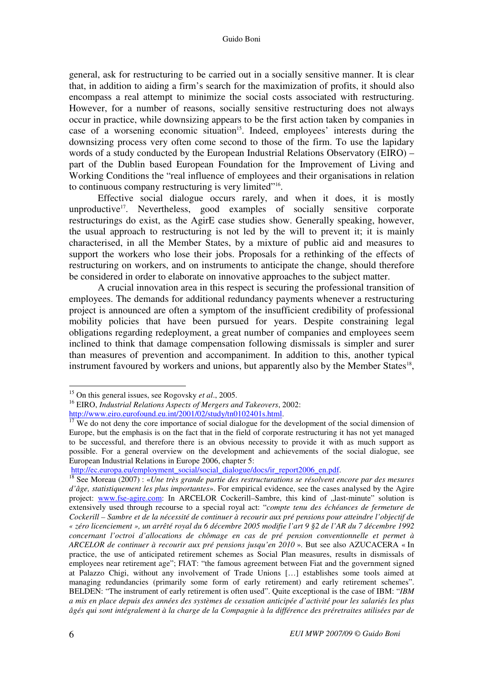general, ask for restructuring to be carried out in a socially sensitive manner. It is clear that, in addition to aiding a firm's search for the maximization of profits, it should also encompass a real attempt to minimize the social costs associated with restructuring. However, for a number of reasons, socially sensitive restructuring does not always occur in practice, while downsizing appears to be the first action taken by companies in case of a worsening economic situation<sup>15</sup>. Indeed, employees' interests during the downsizing process very often come second to those of the firm. To use the lapidary words of a study conducted by the European Industrial Relations Observatory (EIRO) – part of the Dublin based European Foundation for the Improvement of Living and Working Conditions the "real influence of employees and their organisations in relation to continuous company restructuring is very limited"<sup>16</sup>.

Effective social dialogue occurs rarely, and when it does, it is mostly unproductive<sup>17</sup>. Nevertheless, good examples of socially sensitive corporate restructurings do exist, as the AgirE case studies show. Generally speaking, however, the usual approach to restructuring is not led by the will to prevent it; it is mainly characterised, in all the Member States, by a mixture of public aid and measures to support the workers who lose their jobs. Proposals for a rethinking of the effects of restructuring on workers, and on instruments to anticipate the change, should therefore be considered in order to elaborate on innovative approaches to the subject matter.

A crucial innovation area in this respect is securing the professional transition of employees. The demands for additional redundancy payments whenever a restructuring project is announced are often a symptom of the insufficient credibility of professional mobility policies that have been pursued for years. Despite constraining legal obligations regarding redeployment, a great number of companies and employees seem inclined to think that damage compensation following dismissals is simpler and surer than measures of prevention and accompaniment. In addition to this, another typical instrument favoured by workers and unions, but apparently also by the Member States $18$ ,

<sup>15</sup> On this general issues, see Rogovsky *et al*., 2005.

<sup>16</sup> EIRO, *Industrial Relations Aspects of Mergers and Takeovers*, 2002:

http://www.eiro.eurofound.eu.int/2001/02/study/tn0102401s.html.

 $17$  We do not deny the core importance of social dialogue for the development of the social dimension of Europe, but the emphasis is on the fact that in the field of corporate restructuring it has not yet managed to be successful, and therefore there is an obvious necessity to provide it with as much support as possible. For a general overview on the development and achievements of the social dialogue, see European Industrial Relations in Europe 2006, chapter 5:

http://ec.europa.eu/employment\_social/social\_dialogue/docs/ir\_report2006\_en.pdf.

<sup>18</sup> See Moreau (2007) : «*Une très grande partie des restructurations se résolvent encore par des mesures d'âge, statistiquement les plus importantes*». For empirical evidence, see the cases analysed by the Agire project: www.fse-agire.com: In ARCELOR Cockerill–Sambre, this kind of "last-minute" solution is extensively used through recourse to a special royal act: "*compte tenu des échéances de fermeture de Cockerill – Sambre et de la nécessité de continuer à recourir aux pré pensions pour atteindre l'objectif de « zéro licenciement », un arrêté royal du 6 décembre 2005 modifie l'art 9 §2 de l'AR du 7 décembre 1992 concernant l'octroi d'allocations de chômage en cas de pré pension conventionnelle et permet à ARCELOR de continuer à recourir aux pré pensions jusqu'en 2010* ». But see also AZUCACERA « In practice, the use of anticipated retirement schemes as Social Plan measures, results in dismissals of employees near retirement age"; FIAT: "the famous agreement between Fiat and the government signed at Palazzo Chigi, without any involvement of Trade Unions […] establishes some tools aimed at managing redundancies (primarily some form of early retirement) and early retirement schemes". BELDEN: "The instrument of early retirement is often used". Quite exceptional is the case of IBM: "*IBM a mis en place depuis des années des systèmes de cessation anticipée d'activité pour les salariés les plus âgés qui sont intégralement à la charge de la Compagnie à la différence des préretraites utilisées par de*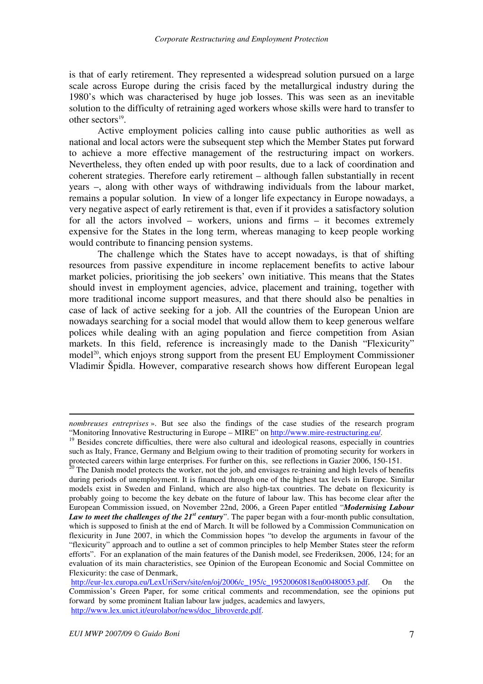is that of early retirement. They represented a widespread solution pursued on a large scale across Europe during the crisis faced by the metallurgical industry during the 1980's which was characterised by huge job losses. This was seen as an inevitable solution to the difficulty of retraining aged workers whose skills were hard to transfer to other sectors $19$ .

Active employment policies calling into cause public authorities as well as national and local actors were the subsequent step which the Member States put forward to achieve a more effective management of the restructuring impact on workers. Nevertheless, they often ended up with poor results, due to a lack of coordination and coherent strategies. Therefore early retirement – although fallen substantially in recent years –, along with other ways of withdrawing individuals from the labour market, remains a popular solution. In view of a longer life expectancy in Europe nowadays, a very negative aspect of early retirement is that, even if it provides a satisfactory solution for all the actors involved – workers, unions and firms – it becomes extremely expensive for the States in the long term, whereas managing to keep people working would contribute to financing pension systems.

The challenge which the States have to accept nowadays, is that of shifting resources from passive expenditure in income replacement benefits to active labour market policies, prioritising the job seekers' own initiative. This means that the States should invest in employment agencies, advice, placement and training, together with more traditional income support measures, and that there should also be penalties in case of lack of active seeking for a job. All the countries of the European Union are nowadays searching for a social model that would allow them to keep generous welfare polices while dealing with an aging population and fierce competition from Asian markets. In this field, reference is increasingly made to the Danish "Flexicurity" model<sup>20</sup>, which enjoys strong support from the present EU Employment Commissioner Vladimir Špidla. However, comparative research shows how different European legal

1

*nombreuses entreprises* ». But see also the findings of the case studies of the research program "Monitoring Innovative Restructuring in Europe – MIRE" on http://www.mire-restructuring.eu/.

<sup>&</sup>lt;sup>19</sup> Besides concrete difficulties, there were also cultural and ideological reasons, especially in countries such as Italy, France, Germany and Belgium owing to their tradition of promoting security for workers in protected careers within large enterprises. For further on this, see reflections in Gazier 2006, 150-151.

 $20$  The Danish model protects the worker, not the job, and envisages re-training and high levels of benefits during periods of unemployment. It is financed through one of the highest tax levels in Europe. Similar models exist in Sweden and Finland, which are also high-tax countries. The debate on flexicurity is probably going to become the key debate on the future of labour law. This has become clear after the European Commission issued, on November 22nd, 2006, a Green Paper entitled "*Modernising Labour Law to meet the challenges of the 21<sup>st</sup> century*". The paper began with a four-month public consultation, which is supposed to finish at the end of March. It will be followed by a Commission Communication on flexicurity in June 2007, in which the Commission hopes "to develop the arguments in favour of the "flexicurity" approach and to outline a set of common principles to help Member States steer the reform efforts". For an explanation of the main features of the Danish model, see Frederiksen, 2006, 124; for an evaluation of its main characteristics, see Opinion of the European Economic and Social Committee on Flexicurity: the case of Denmark,

http://eur-lex.europa.eu/LexUriServ/site/en/oj/2006/c\_195/c\_19520060818en00480053.pdf. On the Commission's Green Paper, for some critical comments and recommendation, see the opinions put forward by some prominent Italian labour law judges, academics and lawyers, http://www.lex.unict.it/eurolabor/news/doc\_libroverde.pdf.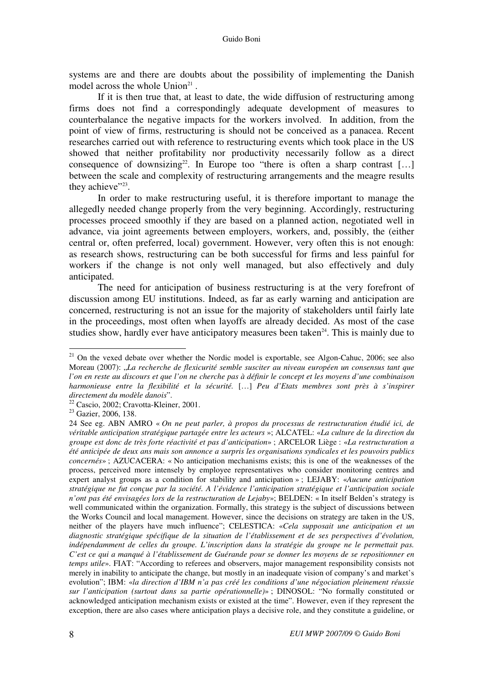systems are and there are doubts about the possibility of implementing the Danish model across the whole  $Union<sup>21</sup>$ .

If it is then true that, at least to date, the wide diffusion of restructuring among firms does not find a correspondingly adequate development of measures to counterbalance the negative impacts for the workers involved. In addition, from the point of view of firms, restructuring is should not be conceived as a panacea. Recent researches carried out with reference to restructuring events which took place in the US showed that neither profitability nor productivity necessarily follow as a direct consequence of downsizing<sup>22</sup>. In Europe too "there is often a sharp contrast [...] between the scale and complexity of restructuring arrangements and the meagre results they achieve" $23$ .

In order to make restructuring useful, it is therefore important to manage the allegedly needed change properly from the very beginning. Accordingly, restructuring processes proceed smoothly if they are based on a planned action, negotiated well in advance, via joint agreements between employers, workers, and, possibly, the (either central or, often preferred, local) government. However, very often this is not enough: as research shows, restructuring can be both successful for firms and less painful for workers if the change is not only well managed, but also effectively and duly anticipated.

The need for anticipation of business restructuring is at the very forefront of discussion among EU institutions. Indeed, as far as early warning and anticipation are concerned, restructuring is not an issue for the majority of stakeholders until fairly late in the proceedings, most often when layoffs are already decided. As most of the case studies show, hardly ever have anticipatory measures been taken<sup> $24$ </sup>. This is mainly due to

 $21$  On the vexed debate over whether the Nordic model is exportable, see Algon-Cahuc, 2006; see also Moreau (2007): "*La recherche de flexicurité semble susciter au niveau européen un consensus tant que l'on en reste au discours et que l'on ne cherche pas à définir le concept et les moyens d'une combinaison harmonieuse entre la flexibilité et la sécurité.* […] *Peu d'Etats membres sont près à s'inspirer directement du modèle danois*".

<sup>22</sup> Cascio, 2002; Cravotta-Kleiner, 2001.

<sup>&</sup>lt;sup>23</sup> Gazier, 2006, 138.

<sup>24</sup> See eg. ABN AMRO « *On ne peut parler, à propos du processus de restructuration étudié ici, de véritable anticipation stratégique partagée entre les acteurs* »; ALCATEL: «*La culture de la direction du groupe est donc de très forte réactivité et pas d'anticipation*» ; ARCELOR Liège : «*La restructuration a été anticipée de deux ans mais son annonce a surpris les organisations syndicales et les pouvoirs publics concernés*» ; AZUCACERA: « No anticipation mechanisms exists; this is one of the weaknesses of the process, perceived more intensely by employee representatives who consider monitoring centres and expert analyst groups as a condition for stability and anticipation » ; LEJABY: «*Aucune anticipation stratégique ne fut conçue par la société. A l'évidence l'anticipation stratégique et l'anticipation sociale n'ont pas été envisagées lors de la restructuration de Lejaby*»; BELDEN: « In itself Belden's strategy is well communicated within the organization. Formally, this strategy is the subject of discussions between the Works Council and local management. However, since the decisions on strategy are taken in the US, neither of the players have much influence"; CELESTICA: «*Cela supposait une anticipation et un diagnostic stratégique spécifique de la situation de l'établissement et de ses perspectives d'évolution, indépendamment de celles du groupe. L'inscription dans la stratégie du groupe ne le permettait pas. C'est ce qui a manqué à l'établissement de Guérande pour se donner les moyens de se repositionner en temps utile*». FIAT: "According to referees and observers, major management responsibility consists not merely in inability to anticipate the change, but mostly in an inadequate vision of company's and market's evolution"; IBM: «*la direction d'IBM n'a pas créé les conditions d'une négociation pleinement réussie sur l'anticipation (surtout dans sa partie opérationnelle)*» ; DINOSOL: "No formally constituted or acknowledged anticipation mechanism exists or existed at the time". However, even if they represent the exception, there are also cases where anticipation plays a decisive role, and they constitute a guideline, or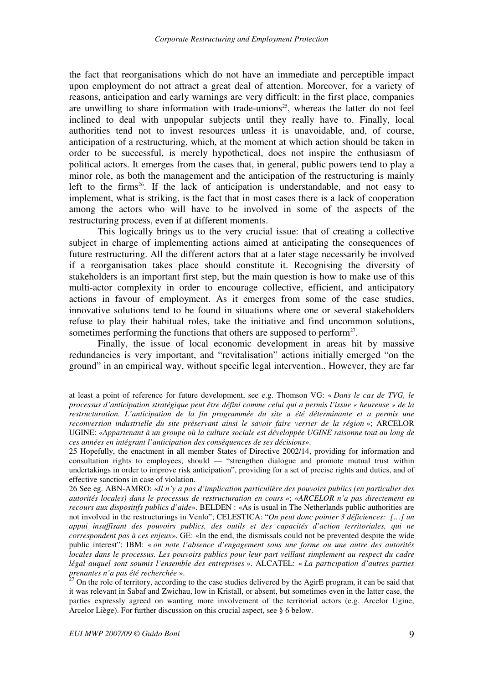the fact that reorganisations which do not have an immediate and perceptible impact upon employment do not attract a great deal of attention. Moreover, for a variety of reasons, anticipation and early warnings are very difficult: in the first place, companies are unwilling to share information with trade-unions <sup>25</sup>, whereas the latter do not feel inclined to deal with unpopular subjects until they really have to. Finally, local authorities tend not to invest resources unless it is unavoidable, and, of course, anticipation of a restructuring, which, at the moment at which action should be taken in order to be successful, is merely hypothetical, does not inspire the enthusiasm of political actors. It emerges from the cases that, in general, public powers tend to play a minor role, as both the management and the anticipation of the restructuring is mainly left to the firms<sup>26</sup>. If the lack of anticipation is understandable, and not easy to implement, what is striking, is the fact that in most cases there is a lack of cooperation among the actors who will have to be involved in some of the aspects of the restructuring process, even if at different moments.

This logically brings us to the very crucial issue: that of creating a collective subject in charge of implementing actions aimed at anticipating the consequences of future restructuring. All the different actors that at a later stage necessarily be involved if a reorganisation takes place should constitute it. Recognising the diversity of stakeholders is an important first step, but the main question is how to make use of this multi-actor complexity in order to encourage collective, efficient, and anticipatory actions in favour of employment. As it emerges from some of the case studies, innovative solutions tend to be found in situations where one or several stakeholders refuse to play their habitual roles, take the initiative and find uncommon solutions, sometimes performing the functions that others are supposed to perform $27$ .

Finally, the issue of local economic development in areas hit by massive redundancies is very important, and "revitalisation" actions initially emerged "on the ground" in an empirical way, without specific legal intervention.. However, they are far

<u>.</u>

at least a point of reference for future development, see e.g. Thomson VG: « *Dans le cas de TVG, le processus d'anticipation stratégique peut être défini comme celui qui a permis l'issue « heureuse » de la restructuration. L'anticipation de la fin programmée du site a été déterminante et a permis une reconversion industrielle du site préservant ainsi le savoir faire verrier de la région* »; ARCELOR UGINE: «*Appartenant à un groupe où la culture sociale est développée UGINE raisonne tout au long de ces années en intégrant l'anticipation des conséquences de ses décisions*».

<sup>25</sup> Hopefully, the enactment in all member States of Directive 2002/14, providing for information and consultation rights to employees, should –– "strengthen dialogue and promote mutual trust within undertakings in order to improve risk anticipation", providing for a set of precise rights and duties, and of effective sanctions in case of violation.

<sup>26</sup> See eg. ABN-AMRO: «*Il n'y a pas d'implication particulière des pouvoirs publics (en particulier des autorités locales) dans le processus de restructuration en cours* »; «*ARCELOR n'a pas directement eu recours aux dispositifs publics d'aide*». BELDEN : «As is usual in The Netherlands public authorities are not involved in the restructurings in Venlo"; CELESTICA: "*On peut donc pointer 3 déficiences: […] un appui insuffisant des pouvoirs publics, des outils et des capacités d'action territoriales, qui ne correspondent pas à ces enjeux*». GE: «In the end, the dismissals could not be prevented despite the wide public interest"; IBM: « *on note l'absence d'engagement sous une forme ou une autre des autorités locales dans le processus. Les pouvoirs publics pour leur part veillant simplement au respect du cadre légal auquel sont soumis l'ensemble des entreprises* ». ALCATEL: « *La participation d'autres parties prenantes n'a pas été recherchée* ».

 $27$  On the role of territory, according to the case studies delivered by the AgirE program, it can be said that it was relevant in Sabaf and Zwichau, low in Kristall, or absent, but sometimes even in the latter case, the parties expressly agreed on wanting more involvement of the territorial actors (e.g. Arcelor Ugine, Arcelor Liège). For further discussion on this crucial aspect, see § 6 below.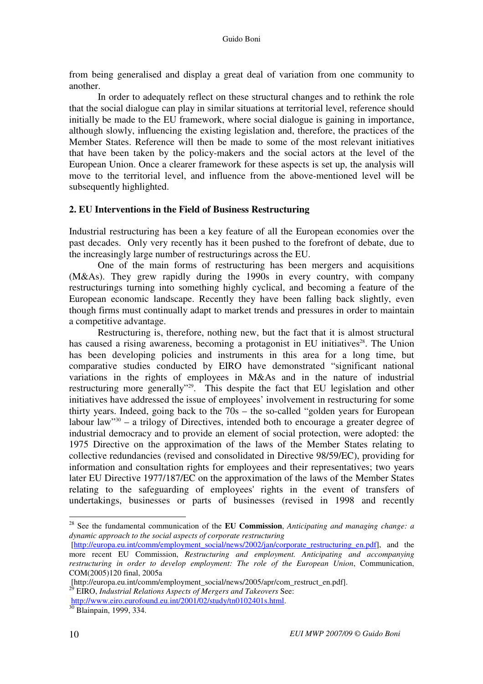from being generalised and display a great deal of variation from one community to another.

In order to adequately reflect on these structural changes and to rethink the role that the social dialogue can play in similar situations at territorial level, reference should initially be made to the EU framework, where social dialogue is gaining in importance, although slowly, influencing the existing legislation and, therefore, the practices of the Member States. Reference will then be made to some of the most relevant initiatives that have been taken by the policy-makers and the social actors at the level of the European Union. Once a clearer framework for these aspects is set up, the analysis will move to the territorial level, and influence from the above-mentioned level will be subsequently highlighted.

#### **2. EU Interventions in the Field of Business Restructuring**

Industrial restructuring has been a key feature of all the European economies over the past decades. Only very recently has it been pushed to the forefront of debate, due to the increasingly large number of restructurings across the EU.

One of the main forms of restructuring has been mergers and acquisitions (M&As). They grew rapidly during the 1990s in every country, with company restructurings turning into something highly cyclical, and becoming a feature of the European economic landscape. Recently they have been falling back slightly, even though firms must continually adapt to market trends and pressures in order to maintain a competitive advantage.

Restructuring is, therefore, nothing new, but the fact that it is almost structural has caused a rising awareness, becoming a protagonist in EU initiatives<sup>28</sup>. The Union has been developing policies and instruments in this area for a long time, but comparative studies conducted by EIRO have demonstrated "significant national variations in the rights of employees in M&As and in the nature of industrial restructuring more generally"<sup>29</sup>. This despite the fact that EU legislation and other initiatives have addressed the issue of employees' involvement in restructuring for some thirty years. Indeed, going back to the 70s – the so-called "golden years for European labour law<sup>"30</sup> – a trilogy of Directives, intended both to encourage a greater degree of industrial democracy and to provide an element of social protection, were adopted: the 1975 Directive on the approximation of the laws of the Member States relating to collective redundancies (revised and consolidated in Directive 98/59/EC), providing for information and consultation rights for employees and their representatives; two years later EU Directive 1977/187/EC on the approximation of the laws of the Member States relating to the safeguarding of employees' rights in the event of transfers of undertakings, businesses or parts of businesses (revised in 1998 and recently

<sup>28</sup> See the fundamental communication of the **EU Commission**, *Anticipating and managing change: a dynamic approach to the social aspects of corporate restructuring* 

<sup>[</sup>http://europa.eu.int/comm/employment\_social/news/2002/jan/corporate\_restructuring\_en.pdf], and the more recent EU Commission, *Restructuring and employment. Anticipating and accompanying restructuring in order to develop employment: The role of the European Union*, Communication, COM(2005)120 final, 2005a

<sup>[</sup>http://europa.eu.int/comm/employment\_social/news/2005/apr/com\_restruct\_en.pdf].

<sup>29</sup> EIRO, *Industrial Relations Aspects of Mergers and Takeovers* See: http://www.eiro.eurofound.eu.int/2001/02/study/tn0102401s.html.

<sup>&</sup>lt;sup>30</sup> Blainpain, 1999, 334.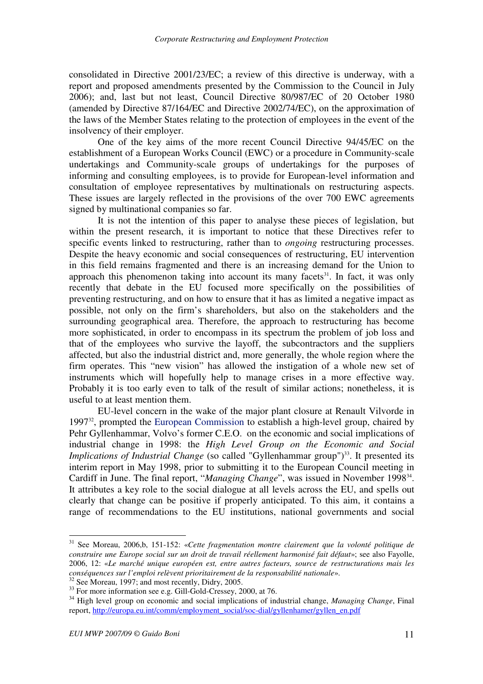consolidated in Directive 2001/23/EC; a review of this directive is underway, with a report and proposed amendments presented by the Commission to the Council in July 2006); and, last but not least, Council Directive 80/987/EC of 20 October 1980 (amended by Directive 87/164/EC and Directive 2002/74/EC), on the approximation of the laws of the Member States relating to the protection of employees in the event of the insolvency of their employer.

One of the key aims of the more recent Council Directive 94/45/EC on the establishment of a European Works Council (EWC) or a procedure in Community-scale undertakings and Community-scale groups of undertakings for the purposes of informing and consulting employees, is to provide for European-level information and consultation of employee representatives by multinationals on restructuring aspects. These issues are largely reflected in the provisions of the over 700 EWC agreements signed by multinational companies so far.

It is not the intention of this paper to analyse these pieces of legislation, but within the present research, it is important to notice that these Directives refer to specific events linked to restructuring, rather than to *ongoing* restructuring processes. Despite the heavy economic and social consequences of restructuring, EU intervention in this field remains fragmented and there is an increasing demand for the Union to approach this phenomenon taking into account its many facets $31$ . In fact, it was only recently that debate in the EU focused more specifically on the possibilities of preventing restructuring, and on how to ensure that it has as limited a negative impact as possible, not only on the firm's shareholders, but also on the stakeholders and the surrounding geographical area. Therefore, the approach to restructuring has become more sophisticated, in order to encompass in its spectrum the problem of job loss and that of the employees who survive the layoff, the subcontractors and the suppliers affected, but also the industrial district and, more generally, the whole region where the firm operates. This "new vision" has allowed the instigation of a whole new set of instruments which will hopefully help to manage crises in a more effective way. Probably it is too early even to talk of the result of similar actions; nonetheless, it is useful to at least mention them.

EU-level concern in the wake of the major plant closure at Renault Vilvorde in  $1997<sup>32</sup>$ , prompted the European Commission to establish a high-level group, chaired by Pehr Gyllenhammar, Volvo's former C.E.O. on the economic and social implications of industrial change in 1998: the *High Level Group on the Economic and Social Implications of Industrial Change* (so called "Gyllenhammar group")<sup>33</sup>. It presented its interim report in May 1998, prior to submitting it to the European Council meeting in Cardiff in June. The final report, "*Managing Change*", was issued in November 1998<sup>34</sup>. It attributes a key role to the social dialogue at all levels across the EU, and spells out clearly that change can be positive if properly anticipated. To this aim, it contains a range of recommendations to the EU institutions, national governments and social

<sup>31</sup> See Moreau, 2006,b, 151-152: «*Cette fragmentation montre clairement que la volonté politique de construire une Europe social sur un droit de travail réellement harmonisé fait défaut*»; see also Fayolle, 2006, 12: «*Le marché unique européen est, entre autres facteurs, source de restructurations mais les conséquences sur l'emploi relèvent prioritairement de la responsabilité nationale*».

 $32$  See Moreau, 1997; and most recently, Didry, 2005.

<sup>&</sup>lt;sup>33</sup> For more information see e.g. Gill-Gold-Cressey, 2000, at 76.

<sup>34</sup> High level group on economic and social implications of industrial change, *Managing Change*, Final report, http://europa.eu.int/comm/employment\_social/soc-dial/gyllenhamer/gyllen\_en.pdf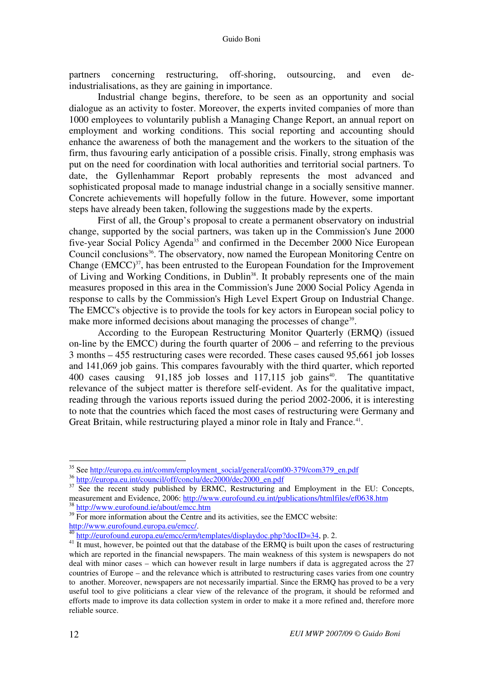partners concerning restructuring, off-shoring, outsourcing, and even deindustrialisations, as they are gaining in importance.

Industrial change begins, therefore, to be seen as an opportunity and social dialogue as an activity to foster. Moreover, the experts invited companies of more than 1000 employees to voluntarily publish a Managing Change Report, an annual report on employment and working conditions. This social reporting and accounting should enhance the awareness of both the management and the workers to the situation of the firm, thus favouring early anticipation of a possible crisis. Finally, strong emphasis was put on the need for coordination with local authorities and territorial social partners. To date, the Gyllenhammar Report probably represents the most advanced and sophisticated proposal made to manage industrial change in a socially sensitive manner. Concrete achievements will hopefully follow in the future. However, some important steps have already been taken, following the suggestions made by the experts.

First of all, the Group's proposal to create a permanent observatory on industrial change, supported by the social partners, was taken up in the Commission's June 2000 five-year Social Policy Agenda<sup>35</sup> and confirmed in the December 2000 Nice European Council conclusions<sup>36</sup>. The observatory, now named the European Monitoring Centre on Change  $(EMCC)^{37}$ , has been entrusted to the European Foundation for the Improvement of Living and Working Conditions, in Dublin<sup>38</sup>. It probably represents one of the main measures proposed in this area in the Commission's June 2000 Social Policy Agenda in response to calls by the Commission's High Level Expert Group on Industrial Change. The EMCC's objective is to provide the tools for key actors in European social policy to make more informed decisions about managing the processes of change<sup>39</sup>.

According to the European Restructuring Monitor Quarterly (ERMQ) (issued on-line by the EMCC) during the fourth quarter of 2006 – and referring to the previous 3 months – 455 restructuring cases were recorded. These cases caused 95,661 job losses and 141,069 job gains. This compares favourably with the third quarter, which reported 400 cases causing  $91,185$  job losses and 117,115 job gains<sup>40</sup>. The quantitative relevance of the subject matter is therefore self-evident. As for the qualitative impact, reading through the various reports issued during the period 2002-2006, it is interesting to note that the countries which faced the most cases of restructuring were Germany and Great Britain, while restructuring played a minor role in Italy and France.<sup>41</sup>.

<sup>&</sup>lt;sup>35</sup> See http://europa.eu.int/comm/employment\_social/general/com00-379/com379\_en.pdf

<sup>36</sup> http://europa.eu.int/council/off/conclu/dec2000/dec2000\_en.pdf

<sup>&</sup>lt;sup>37</sup> See the recent study published by ERMC, Restructuring and Employment in the EU: Concepts, measurement and Evidence, 2006: http://www.eurofound.eu.int/publications/htmlfiles/ef0638.htm <sup>38</sup> http://www.eurofound.ie/about/emcc.htm

 $39\overline{For}$  more information about the Centre and its activities, see the EMCC website: http://www.eurofound.europa.eu/emcc/.

<sup>&</sup>lt;sup>40</sup> http://eurofound.europa.eu/emcc/erm/templates/displaydoc.php?docID=34, p. 2.

<sup>&</sup>lt;sup>41</sup> It must, however, be pointed out that the database of the ERMQ is built upon the cases of restructuring which are reported in the financial newspapers. The main weakness of this system is newspapers do not deal with minor cases – which can however result in large numbers if data is aggregated across the 27 countries of Europe – and the relevance which is attributed to restructuring cases varies from one country to another. Moreover, newspapers are not necessarily impartial. Since the ERMQ has proved to be a very useful tool to give politicians a clear view of the relevance of the program, it should be reformed and efforts made to improve its data collection system in order to make it a more refined and, therefore more reliable source.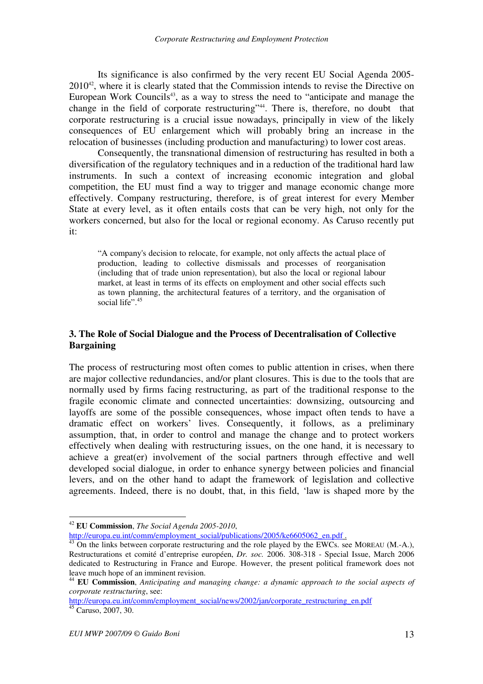Its significance is also confirmed by the very recent EU Social Agenda 2005-  $2010^{42}$ , where it is clearly stated that the Commission intends to revise the Directive on European Work Councils<sup>43</sup>, as a way to stress the need to "anticipate and manage the change in the field of corporate restructuring"<sup>44</sup>. There is, therefore, no doubt that corporate restructuring is a crucial issue nowadays, principally in view of the likely consequences of EU enlargement which will probably bring an increase in the relocation of businesses (including production and manufacturing) to lower cost areas.

Consequently, the transnational dimension of restructuring has resulted in both a diversification of the regulatory techniques and in a reduction of the traditional hard law instruments. In such a context of increasing economic integration and global competition, the EU must find a way to trigger and manage economic change more effectively. Company restructuring, therefore, is of great interest for every Member State at every level, as it often entails costs that can be very high, not only for the workers concerned, but also for the local or regional economy. As Caruso recently put it:

"A company's decision to relocate, for example, not only affects the actual place of production, leading to collective dismissals and processes of reorganisation (including that of trade union representation), but also the local or regional labour market, at least in terms of its effects on employment and other social effects such as town planning, the architectural features of a territory, and the organisation of social life".<sup>45</sup>

## **3. The Role of Social Dialogue and the Process of Decentralisation of Collective Bargaining**

The process of restructuring most often comes to public attention in crises, when there are major collective redundancies, and/or plant closures. This is due to the tools that are normally used by firms facing restructuring, as part of the traditional response to the fragile economic climate and connected uncertainties: downsizing, outsourcing and layoffs are some of the possible consequences, whose impact often tends to have a dramatic effect on workers' lives. Consequently, it follows, as a preliminary assumption, that, in order to control and manage the change and to protect workers effectively when dealing with restructuring issues, on the one hand, it is necessary to achieve a great(er) involvement of the social partners through effective and well developed social dialogue, in order to enhance synergy between policies and financial levers, and on the other hand to adapt the framework of legislation and collective agreements. Indeed, there is no doubt, that, in this field, 'law is shaped more by the

<sup>42</sup> **EU Commission**, *The Social Agenda 2005-2010*,

http://europa.eu.int/comm/employment\_social/publications/2005/ke6605062\_en.pdf .

 $^{43}$  On the links between corporate restructuring and the role played by the EWCs. see MOREAU (M.-A.), Restructurations et comité d'entreprise européen, *Dr. soc.* 2006. 308-318 - Special Issue, March 2006 dedicated to Restructuring in France and Europe. However, the present political framework does not leave much hope of an imminent revision.

<sup>44</sup> **EU Commission**, *Anticipating and managing change: a dynamic approach to the social aspects of corporate restructuring*, see:

http://europa.eu.int/comm/employment\_social/news/2002/jan/corporate\_restructuring\_en.pdf  $45 \text{ Caruso}, 2007, 30.$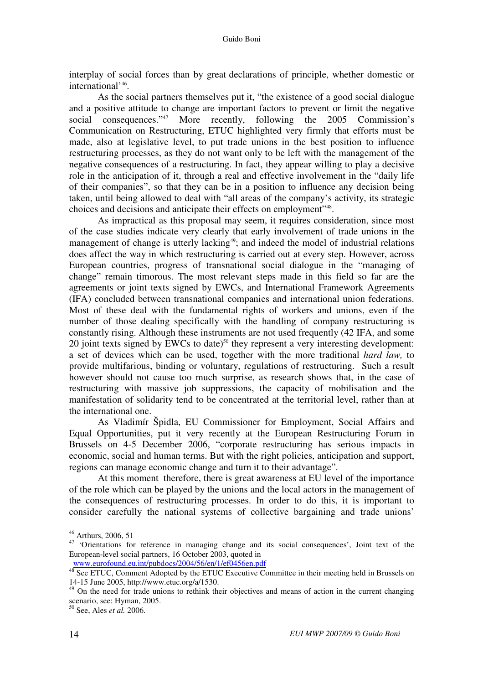interplay of social forces than by great declarations of principle, whether domestic or international<sup>'46</sup>.

As the social partners themselves put it, "the existence of a good social dialogue and a positive attitude to change are important factors to prevent or limit the negative social consequences."<sup>47</sup> More recently, following the 2005 Commission's Communication on Restructuring, ETUC highlighted very firmly that efforts must be made, also at legislative level, to put trade unions in the best position to influence restructuring processes, as they do not want only to be left with the management of the negative consequences of a restructuring. In fact, they appear willing to play a decisive role in the anticipation of it, through a real and effective involvement in the "daily life of their companies", so that they can be in a position to influence any decision being taken, until being allowed to deal with "all areas of the company's activity, its strategic choices and decisions and anticipate their effects on employment"<sup>48</sup>.

As impractical as this proposal may seem, it requires consideration, since most of the case studies indicate very clearly that early involvement of trade unions in the management of change is utterly lacking<sup>49</sup>; and indeed the model of industrial relations does affect the way in which restructuring is carried out at every step. However, across European countries, progress of transnational social dialogue in the "managing of change" remain timorous. The most relevant steps made in this field so far are the agreements or joint texts signed by EWCs, and International Framework Agreements (IFA) concluded between transnational companies and international union federations. Most of these deal with the fundamental rights of workers and unions, even if the number of those dealing specifically with the handling of company restructuring is constantly rising. Although these instruments are not used frequently (42 IFA, and some 20 joint texts signed by EWCs to date)<sup>50</sup> they represent a very interesting development: a set of devices which can be used, together with the more traditional *hard law,* to provide multifarious, binding or voluntary, regulations of restructuring. Such a result however should not cause too much surprise, as research shows that, in the case of restructuring with massive job suppressions, the capacity of mobilisation and the manifestation of solidarity tend to be concentrated at the territorial level, rather than at the international one.

As Vladimír Špidla, EU Commissioner for Employment, Social Affairs and Equal Opportunities, put it very recently at the European Restructuring Forum in Brussels on 4-5 December 2006, "corporate restructuring has serious impacts in economic, social and human terms. But with the right policies, anticipation and support, regions can manage economic change and turn it to their advantage".

At this moment therefore, there is great awareness at EU level of the importance of the role which can be played by the unions and the local actors in the management of the consequences of restructuring processes. In order to do this, it is important to consider carefully the national systems of collective bargaining and trade unions'

<sup>46</sup> Arthurs, 2006, 51

<sup>&</sup>lt;sup>47</sup> 'Orientations for reference in managing change and its social consequences', Joint text of the European-level social partners, 16 October 2003, quoted in www.eurofound.eu.int/pubdocs/2004/56/en/1/ef0456en.pdf

<sup>&</sup>lt;sup>48</sup> See ETUC, Comment Adopted by the ETUC Executive Committee in their meeting held in Brussels on 14-15 June 2005, http://www.etuc.org/a/1530.

<sup>&</sup>lt;sup>49</sup> On the need for trade unions to rethink their objectives and means of action in the current changing scenario, see: Hyman, 2005.

<sup>50</sup> See, Ales *et al.* 2006.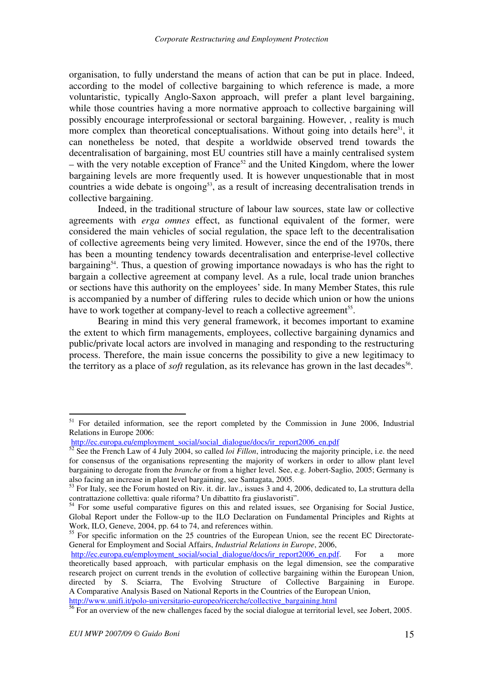organisation, to fully understand the means of action that can be put in place. Indeed, according to the model of collective bargaining to which reference is made, a more voluntaristic, typically Anglo-Saxon approach, will prefer a plant level bargaining, while those countries having a more normative approach to collective bargaining will possibly encourage interprofessional or sectoral bargaining. However, , reality is much more complex than theoretical conceptualisations. Without going into details here<sup>51</sup>, it can nonetheless be noted, that despite a worldwide observed trend towards the decentralisation of bargaining, most EU countries still have a mainly centralised system – with the very notable exception of France<sup>52</sup> and the United Kingdom, where the lower bargaining levels are more frequently used. It is however unquestionable that in most countries a wide debate is ongoing<sup>53</sup>, as a result of increasing decentralisation trends in collective bargaining.

Indeed, in the traditional structure of labour law sources, state law or collective agreements with *erga omnes* effect, as functional equivalent of the former, were considered the main vehicles of social regulation, the space left to the decentralisation of collective agreements being very limited. However, since the end of the 1970s, there has been a mounting tendency towards decentralisation and enterprise-level collective bargaining<sup>54</sup>. Thus, a question of growing importance nowadays is who has the right to bargain a collective agreement at company level. As a rule, local trade union branches or sections have this authority on the employees' side. In many Member States, this rule is accompanied by a number of differing rules to decide which union or how the unions have to work together at company-level to reach a collective agreement<sup>55</sup>.

Bearing in mind this very general framework, it becomes important to examine the extent to which firm managements, employees, collective bargaining dynamics and public/private local actors are involved in managing and responding to the restructuring process. Therefore, the main issue concerns the possibility to give a new legitimacy to the territory as a place of *soft* regulation, as its relevance has grown in the last decades<sup>56</sup>.

<sup>&</sup>lt;sup>51</sup> For detailed information, see the report completed by the Commission in June 2006, Industrial Relations in Europe 2006:

http://ec.europa.eu/employment\_social/social\_dialogue/docs/ir\_report2006\_en.pdf

<sup>&</sup>lt;sup>52</sup> See the French Law of 4 July 2004, so called *loi Fillon*, introducing the majority principle, i.e. the need for consensus of the organisations representing the majority of workers in order to allow plant level bargaining to derogate from the *branche* or from a higher level. See, e.g. Jobert-Saglio, 2005; Germany is also facing an increase in plant level bargaining, see Santagata, 2005.

 $53$  For Italy, see the Forum hosted on Riv. it. dir. lav., issues 3 and 4, 2006, dedicated to, La struttura della contrattazione collettiva: quale riforma? Un dibattito fra giuslavoristi".

<sup>&</sup>lt;sup>54</sup> For some useful comparative figures on this and related issues, see Organising for Social Justice, Global Report under the Follow-up to the ILO Declaration on Fundamental Principles and Rights at Work, ILO, Geneve, 2004, pp. 64 to 74, and references within.

<sup>&</sup>lt;sup>55</sup> For specific information on the 25 countries of the European Union, see the recent EC Directorate-General for Employment and Social Affairs, *Industrial Relations in Europe*, 2006,

http://ec.europa.eu/employment\_social/social\_dialogue/docs/ir\_report2006\_en.pdf. For a more theoretically based approach, with particular emphasis on the legal dimension, see the comparative research project on current trends in the evolution of collective bargaining within the European Union, directed by S. Sciarra, The Evolving Structure of Collective Bargaining in Europe. A Comparative Analysis Based on National Reports in the Countries of the European Union,

http://www.unifi.it/polo-universitario-europeo/ricerche/collective\_bargaining.html

<sup>&</sup>lt;sup>56</sup> For an overview of the new challenges faced by the social dialogue at territorial level, see Jobert, 2005.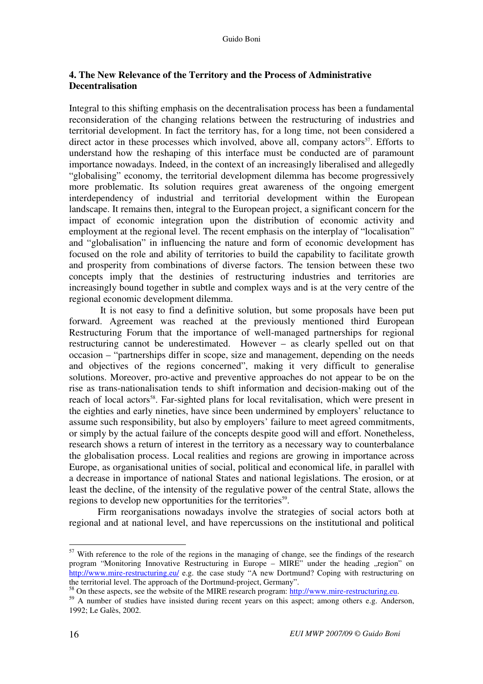# **4. The New Relevance of the Territory and the Process of Administrative Decentralisation**

Integral to this shifting emphasis on the decentralisation process has been a fundamental reconsideration of the changing relations between the restructuring of industries and territorial development. In fact the territory has, for a long time, not been considered a direct actor in these processes which involved, above all, company actors<sup>57</sup>. Efforts to understand how the reshaping of this interface must be conducted are of paramount importance nowadays. Indeed, in the context of an increasingly liberalised and allegedly "globalising" economy, the territorial development dilemma has become progressively more problematic. Its solution requires great awareness of the ongoing emergent interdependency of industrial and territorial development within the European landscape. It remains then, integral to the European project, a significant concern for the impact of economic integration upon the distribution of economic activity and employment at the regional level. The recent emphasis on the interplay of "localisation" and "globalisation" in influencing the nature and form of economic development has focused on the role and ability of territories to build the capability to facilitate growth and prosperity from combinations of diverse factors. The tension between these two concepts imply that the destinies of restructuring industries and territories are increasingly bound together in subtle and complex ways and is at the very centre of the regional economic development dilemma.

 It is not easy to find a definitive solution, but some proposals have been put forward. Agreement was reached at the previously mentioned third European Restructuring Forum that the importance of well-managed partnerships for regional restructuring cannot be underestimated. However – as clearly spelled out on that occasion – "partnerships differ in scope, size and management, depending on the needs and objectives of the regions concerned", making it very difficult to generalise solutions. Moreover, pro-active and preventive approaches do not appear to be on the rise as trans-nationalisation tends to shift information and decision-making out of the reach of local actors<sup>58</sup>. Far-sighted plans for local revitalisation, which were present in the eighties and early nineties, have since been undermined by employers' reluctance to assume such responsibility, but also by employers' failure to meet agreed commitments, or simply by the actual failure of the concepts despite good will and effort. Nonetheless, research shows a return of interest in the territory as a necessary way to counterbalance the globalisation process. Local realities and regions are growing in importance across Europe, as organisational unities of social, political and economical life, in parallel with a decrease in importance of national States and national legislations. The erosion, or at least the decline, of the intensity of the regulative power of the central State, allows the regions to develop new opportunities for the territories<sup>59</sup>.

Firm reorganisations nowadays involve the strategies of social actors both at regional and at national level, and have repercussions on the institutional and political

 $57$  With reference to the role of the regions in the managing of change, see the findings of the research program "Monitoring Innovative Restructuring in Europe – MIRE" under the heading "region" on http://www.mire-restructuring.eu/ e.g. the case study "A new Dortmund? Coping with restructuring on the territorial level. The approach of the Dortmund-project, Germany".

<sup>&</sup>lt;sup>58</sup> On these aspects, see the website of the MIRE research program: http://www.mire-restructuring.eu.

<sup>&</sup>lt;sup>59</sup> A number of studies have insisted during recent years on this aspect; among others e.g. Anderson, 1992; Le Galès, 2002.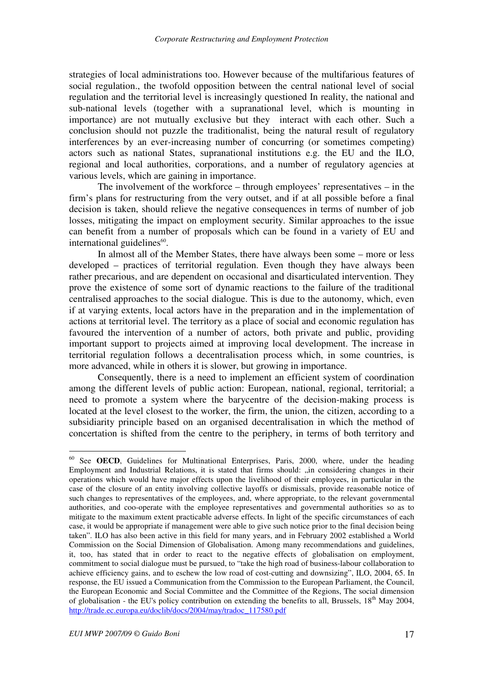strategies of local administrations too. However because of the multifarious features of social regulation., the twofold opposition between the central national level of social regulation and the territorial level is increasingly questioned In reality, the national and sub-national levels (together with a supranational level, which is mounting in importance) are not mutually exclusive but they interact with each other. Such a conclusion should not puzzle the traditionalist, being the natural result of regulatory interferences by an ever-increasing number of concurring (or sometimes competing) actors such as national States, supranational institutions e.g. the EU and the ILO, regional and local authorities, corporations, and a number of regulatory agencies at various levels, which are gaining in importance.

The involvement of the workforce – through employees' representatives – in the firm's plans for restructuring from the very outset, and if at all possible before a final decision is taken, should relieve the negative consequences in terms of number of job losses, mitigating the impact on employment security. Similar approaches to the issue can benefit from a number of proposals which can be found in a variety of EU and international guidelines<sup>60</sup>.

In almost all of the Member States, there have always been some – more or less developed – practices of territorial regulation. Even though they have always been rather precarious, and are dependent on occasional and disarticulated intervention. They prove the existence of some sort of dynamic reactions to the failure of the traditional centralised approaches to the social dialogue. This is due to the autonomy, which, even if at varying extents, local actors have in the preparation and in the implementation of actions at territorial level. The territory as a place of social and economic regulation has favoured the intervention of a number of actors, both private and public, providing important support to projects aimed at improving local development. The increase in territorial regulation follows a decentralisation process which, in some countries, is more advanced, while in others it is slower, but growing in importance.

Consequently, there is a need to implement an efficient system of coordination among the different levels of public action: European, national, regional, territorial; a need to promote a system where the barycentre of the decision-making process is located at the level closest to the worker, the firm, the union, the citizen, according to a subsidiarity principle based on an organised decentralisation in which the method of concertation is shifted from the centre to the periphery, in terms of both territory and

<sup>&</sup>lt;sup>60</sup> See **OECD**, Guidelines for Multinational Enterprises, Paris, 2000, where, under the heading Employment and Industrial Relations, it is stated that firms should: "in considering changes in their operations which would have major effects upon the livelihood of their employees, in particular in the case of the closure of an entity involving collective layoffs or dismissals, provide reasonable notice of such changes to representatives of the employees, and, where appropriate, to the relevant governmental authorities, and coo-operate with the employee representatives and governmental authorities so as to mitigate to the maximum extent practicable adverse effects. In light of the specific circumstances of each case, it would be appropriate if management were able to give such notice prior to the final decision being taken". ILO has also been active in this field for many years, and in February 2002 established a World Commission on the Social Dimension of Globalisation. Among many recommendations and guidelines, it, too, has stated that in order to react to the negative effects of globalisation on employment, commitment to social dialogue must be pursued, to "take the high road of business-labour collaboration to achieve efficiency gains, and to eschew the low road of cost-cutting and downsizing", ILO, 2004, 65. In response, the EU issued a Communication from the Commission to the European Parliament, the Council, the European Economic and Social Committee and the Committee of the Regions, The social dimension of globalisation - the EU's policy contribution on extending the benefits to all, Brussels,  $18<sup>th</sup>$  May 2004, http://trade.ec.europa.eu/doclib/docs/2004/may/tradoc\_117580.pdf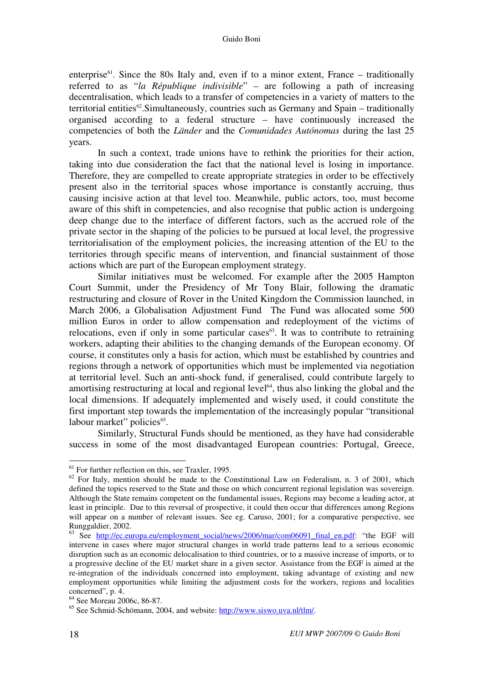enterprise<sup>61</sup>. Since the 80s Italy and, even if to a minor extent, France – traditionally referred to as "*la République indivisible*" – are following a path of increasing decentralisation, which leads to a transfer of competencies in a variety of matters to the territorial entities<sup>62</sup>. Simultaneously, countries such as Germany and Spain – traditionally organised according to a federal structure – have continuously increased the competencies of both the *Länder* and the *Comunidades Autónomas* during the last 25 years.

In such a context, trade unions have to rethink the priorities for their action, taking into due consideration the fact that the national level is losing in importance. Therefore, they are compelled to create appropriate strategies in order to be effectively present also in the territorial spaces whose importance is constantly accruing, thus causing incisive action at that level too. Meanwhile, public actors, too, must become aware of this shift in competencies, and also recognise that public action is undergoing deep change due to the interface of different factors, such as the accrued role of the private sector in the shaping of the policies to be pursued at local level, the progressive territorialisation of the employment policies, the increasing attention of the EU to the territories through specific means of intervention, and financial sustainment of those actions which are part of the European employment strategy.

Similar initiatives must be welcomed. For example after the 2005 Hampton Court Summit, under the Presidency of Mr Tony Blair, following the dramatic restructuring and closure of Rover in the United Kingdom the Commission launched, in March 2006, a Globalisation Adjustment Fund The Fund was allocated some 500 million Euros in order to allow compensation and redeployment of the victims of relocations, even if only in some particular cases<sup>63</sup>. It was to contribute to retraining workers, adapting their abilities to the changing demands of the European economy. Of course, it constitutes only a basis for action, which must be established by countries and regions through a network of opportunities which must be implemented via negotiation at territorial level. Such an anti-shock fund, if generalised, could contribute largely to amortising restructuring at local and regional level<sup>64</sup>, thus also linking the global and the local dimensions. If adequately implemented and wisely used, it could constitute the first important step towards the implementation of the increasingly popular "transitional labour market" policies<sup>65</sup>.

Similarly, Structural Funds should be mentioned, as they have had considerable success in some of the most disadvantaged European countries: Portugal, Greece,

 $61$  For further reflection on this, see Traxler, 1995.

 $62$  For Italy, mention should be made to the Constitutional Law on Federalism, n. 3 of 2001, which defined the topics reserved to the State and those on which concurrent regional legislation was sovereign. Although the State remains competent on the fundamental issues, Regions may become a leading actor, at least in principle. Due to this reversal of prospective, it could then occur that differences among Regions will appear on a number of relevant issues. See eg. Caruso, 2001; for a comparative perspective, see Runggaldier, 2002.

 $^{63}$  See http://ec.europa.eu/employment\_social/news/2006/mar/com06091\_final\_en.pdf: "the EGF will intervene in cases where major structural changes in world trade patterns lead to a serious economic disruption such as an economic delocalisation to third countries, or to a massive increase of imports, or to a progressive decline of the EU market share in a given sector. Assistance from the EGF is aimed at the re-integration of the individuals concerned into employment, taking advantage of existing and new employment opportunities while limiting the adjustment costs for the workers, regions and localities concerned", p. 4.

<sup>64</sup> See Moreau 2006c, 86-87.

<sup>65</sup> See Schmid-Schömann, 2004, and website: http://www.siswo.uva.nl/tlm/.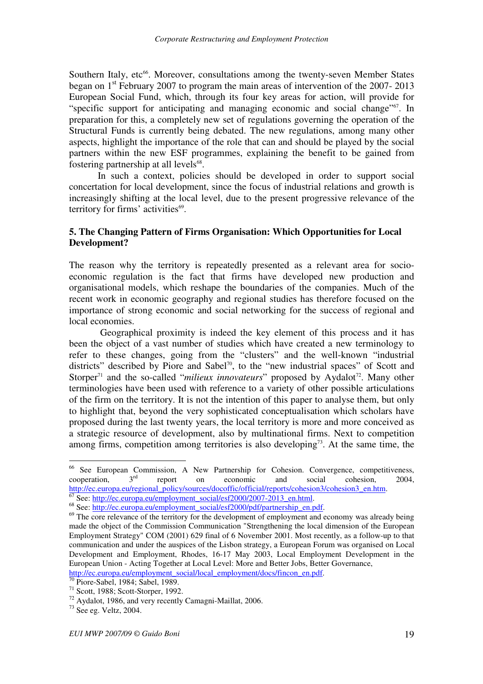Southern Italy, etc<sup>66</sup>. Moreover, consultations among the twenty-seven Member States began on 1<sup>st</sup> February 2007 to program the main areas of intervention of the 2007-2013 European Social Fund, which, through its four key areas for action, will provide for "specific support for anticipating and managing economic and social change"<sup>67</sup>. In preparation for this, a completely new set of regulations governing the operation of the Structural Funds is currently being debated. The new regulations, among many other aspects, highlight the importance of the role that can and should be played by the social partners within the new ESF programmes, explaining the benefit to be gained from fostering partnership at all levels<sup>68</sup>.

In such a context, policies should be developed in order to support social concertation for local development, since the focus of industrial relations and growth is increasingly shifting at the local level, due to the present progressive relevance of the territory for firms' activities<sup>69</sup>.

#### **5. The Changing Pattern of Firms Organisation: Which Opportunities for Local Development?**

The reason why the territory is repeatedly presented as a relevant area for socioeconomic regulation is the fact that firms have developed new production and organisational models, which reshape the boundaries of the companies. Much of the recent work in economic geography and regional studies has therefore focused on the importance of strong economic and social networking for the success of regional and local economies.

 Geographical proximity is indeed the key element of this process and it has been the object of a vast number of studies which have created a new terminology to refer to these changes, going from the "clusters" and the well-known "industrial districts" described by Piore and Sabel<sup>70</sup>, to the "new industrial spaces" of Scott and Storper<sup>71</sup> and the so-called "*milieux innovateurs*" proposed by Aydalot<sup>72</sup>. Many other terminologies have been used with reference to a variety of other possible articulations of the firm on the territory. It is not the intention of this paper to analyse them, but only to highlight that, beyond the very sophisticated conceptualisation which scholars have proposed during the last twenty years, the local territory is more and more conceived as a strategic resource of development, also by multinational firms. Next to competition among firms, competition among territories is also developing<sup>73</sup>. At the same time, the

<sup>66</sup> See European Commission, A New Partnership for Cohesion. Convergence, competitiveness, cooperation,  $3<sup>rd</sup>$  report on economic and social cohesion, 2004, http://ec.europa.eu/regional\_policy/sources/docoffic/official/reports/cohesion3/cohesion3\_en.htm.

See: http://ec.europa.eu/employment\_social/esf2000/2007-2013\_en.html.

<sup>68</sup> See: http://ec.europa.eu/employment\_social/esf2000/pdf/partnership\_en.pdf.

<sup>&</sup>lt;sup>69</sup> The core relevance of the territory for the development of employment and economy was already being made the object of the Commission Communication "Strengthening the local dimension of the European Employment Strategy" COM (2001) 629 final of 6 November 2001. Most recently, as a follow-up to that communication and under the auspices of the Lisbon strategy, a European Forum was organised on Local Development and Employment, Rhodes, 16-17 May 2003, Local Employment Development in the European Union - Acting Together at Local Level: More and Better Jobs, Better Governance, http://ec.europa.eu/employment\_social/local\_employment/docs/fincon\_en.pdf.

Piore-Sabel, 1984; Sabel, 1989.

<sup>71</sup> Scott, 1988; Scott-Storper, 1992.

<sup>72</sup> Aydalot, 1986, and very recently Camagni-Maillat, 2006.

 $73$  See eg. Veltz, 2004.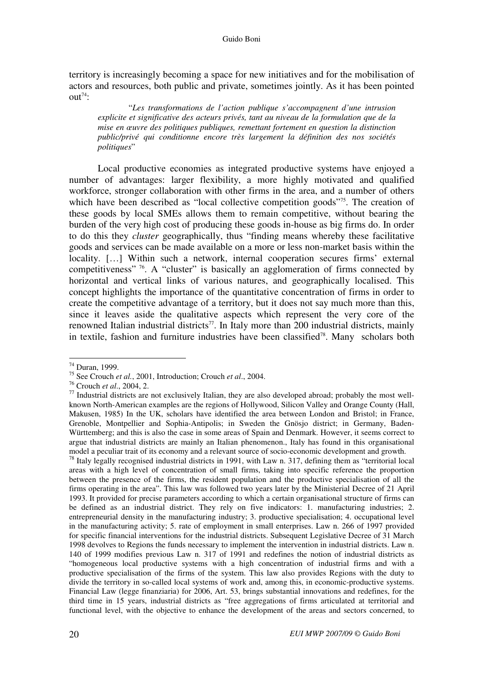territory is increasingly becoming a space for new initiatives and for the mobilisation of actors and resources, both public and private, sometimes jointly. As it has been pointed out<sup> $74$ </sup>:

"*Les transformations de l'action publique s'accompagnent d'une intrusion explicite et significative des acteurs privés, tant au niveau de la formulation que de la mise en œuvre des politiques publiques, remettant fortement en question la distinction public/privé qui conditionne encore très largement la définition des nos sociétés politiques*"

Local productive economies as integrated productive systems have enjoyed a number of advantages: larger flexibility, a more highly motivated and qualified workforce, stronger collaboration with other firms in the area, and a number of others which have been described as "local collective competition goods"<sup>75</sup>. The creation of these goods by local SMEs allows them to remain competitive, without bearing the burden of the very high cost of producing these goods in-house as big firms do. In order to do this they *cluster* geographically, thus "finding means whereby these facilitative goods and services can be made available on a more or less non-market basis within the locality. […] Within such a network, internal cooperation secures firms' external competitiveness" <sup>76</sup>. A "cluster" is basically an agglomeration of firms connected by horizontal and vertical links of various natures, and geographically localised. This concept highlights the importance of the quantitative concentration of firms in order to create the competitive advantage of a territory, but it does not say much more than this, since it leaves aside the qualitative aspects which represent the very core of the renowned Italian industrial districts<sup>77</sup>. In Italy more than 200 industrial districts, mainly in textile, fashion and furniture industries have been classified<sup>78</sup>. Many scholars both

 $\overline{a}$ 

<sup>78</sup> Italy legally recognised industrial districts in 1991, with Law n. 317, defining them as "territorial local areas with a high level of concentration of small firms, taking into specific reference the proportion between the presence of the firms, the resident population and the productive specialisation of all the firms operating in the area". This law was followed two years later by the Ministerial Decree of 21 April 1993. It provided for precise parameters according to which a certain organisational structure of firms can be defined as an industrial district. They rely on five indicators: 1. manufacturing industries; 2. entrepreneurial density in the manufacturing industry; 3. productive specialisation; 4. occupational level in the manufacturing activity; 5. rate of employment in small enterprises. Law n. 266 of 1997 provided for specific financial interventions for the industrial districts. Subsequent Legislative Decree of 31 March 1998 devolves to Regions the funds necessary to implement the intervention in industrial districts. Law n. 140 of 1999 modifies previous Law n. 317 of 1991 and redefines the notion of industrial districts as "homogeneous local productive systems with a high concentration of industrial firms and with a productive specialisation of the firms of the system. This law also provides Regions with the duty to divide the territory in so-called local systems of work and, among this, in economic-productive systems. Financial Law (legge finanziaria) for 2006, Art. 53, brings substantial innovations and redefines, for the third time in 15 years, industrial districts as "free aggregations of firms articulated at territorial and functional level, with the objective to enhance the development of the areas and sectors concerned, to

<sup>74</sup> Duran, 1999.

<sup>75</sup> See Crouch *et al.*, 2001, Introduction; Crouch *et al*., 2004.

<sup>76</sup> Crouch *et al*., 2004, 2.

 $77$  Industrial districts are not exclusively Italian, they are also developed abroad; probably the most wellknown North-American examples are the regions of Hollywood, Silicon Valley and Orange County (Hall, Makusen, 1985) In the UK, scholars have identified the area between London and Bristol; in France, Grenoble, Montpellier and Sophia-Antipolis; in Sweden the Gnösjo district; in Germany, Baden-Württemberg; and this is also the case in some areas of Spain and Denmark. However, it seems correct to argue that industrial districts are mainly an Italian phenomenon., Italy has found in this organisational model a peculiar trait of its economy and a relevant source of socio-economic development and growth.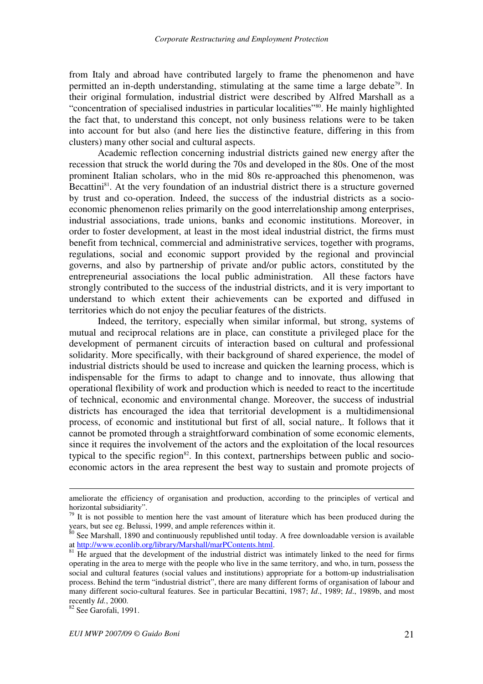from Italy and abroad have contributed largely to frame the phenomenon and have permitted an in-depth understanding, stimulating at the same time a large debate<sup>79</sup>. In their original formulation, industrial district were described by Alfred Marshall as a "concentration of specialised industries in particular localities"<sup>80</sup>. He mainly highlighted the fact that, to understand this concept, not only business relations were to be taken into account for but also (and here lies the distinctive feature, differing in this from clusters) many other social and cultural aspects.

Academic reflection concerning industrial districts gained new energy after the recession that struck the world during the 70s and developed in the 80s. One of the most prominent Italian scholars, who in the mid 80s re-approached this phenomenon, was Becattini<sup>81</sup>. At the very foundation of an industrial district there is a structure governed by trust and co-operation. Indeed, the success of the industrial districts as a socioeconomic phenomenon relies primarily on the good interrelationship among enterprises, industrial associations, trade unions, banks and economic institutions. Moreover, in order to foster development, at least in the most ideal industrial district, the firms must benefit from technical, commercial and administrative services, together with programs, regulations, social and economic support provided by the regional and provincial governs, and also by partnership of private and/or public actors, constituted by the entrepreneurial associations the local public administration. All these factors have strongly contributed to the success of the industrial districts, and it is very important to understand to which extent their achievements can be exported and diffused in territories which do not enjoy the peculiar features of the districts.

Indeed, the territory, especially when similar informal, but strong, systems of mutual and reciprocal relations are in place, can constitute a privileged place for the development of permanent circuits of interaction based on cultural and professional solidarity. More specifically, with their background of shared experience, the model of industrial districts should be used to increase and quicken the learning process, which is indispensable for the firms to adapt to change and to innovate, thus allowing that operational flexibility of work and production which is needed to react to the incertitude of technical, economic and environmental change. Moreover, the success of industrial districts has encouraged the idea that territorial development is a multidimensional process, of economic and institutional but first of all, social nature,. It follows that it cannot be promoted through a straightforward combination of some economic elements, since it requires the involvement of the actors and the exploitation of the local resources typical to the specific region $82$ . In this context, partnerships between public and socioeconomic actors in the area represent the best way to sustain and promote projects of

1

ameliorate the efficiency of organisation and production, according to the principles of vertical and horizontal subsidiarity".

 $79$  It is not possible to mention here the vast amount of literature which has been produced during the years, but see eg. Belussi, 1999, and ample references within it.

 $80$  See Marshall, 1890 and continuously republished until today. A free downloadable version is available at http://www.econlib.org/library/Marshall/marPContents.html.

<sup>&</sup>lt;sup>81</sup> He argued that the development of the industrial district was intimately linked to the need for firms operating in the area to merge with the people who live in the same territory, and who, in turn, possess the social and cultural features (social values and institutions) appropriate for a bottom-up industrialisation process. Behind the term "industrial district", there are many different forms of organisation of labour and many different socio-cultural features. See in particular Becattini, 1987; *Id*., 1989; *Id*., 1989b, and most recently *Id.*, 2000.

 $82$  See Garofali, 1991.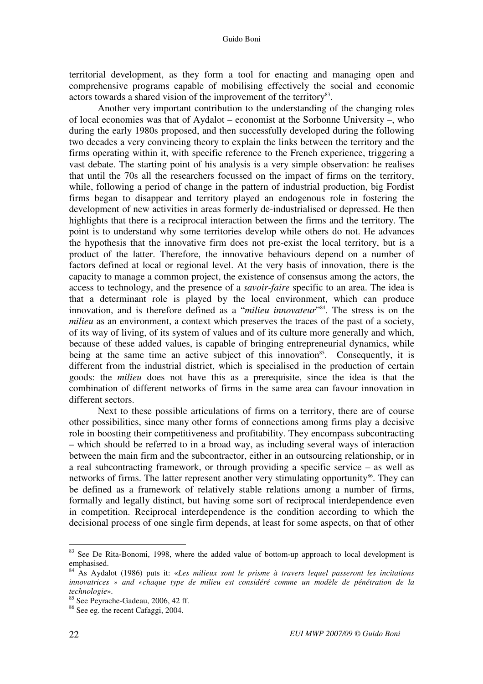territorial development, as they form a tool for enacting and managing open and comprehensive programs capable of mobilising effectively the social and economic actors towards a shared vision of the improvement of the territory<sup>83</sup>.

Another very important contribution to the understanding of the changing roles of local economies was that of Aydalot – economist at the Sorbonne University –, who during the early 1980s proposed, and then successfully developed during the following two decades a very convincing theory to explain the links between the territory and the firms operating within it, with specific reference to the French experience, triggering a vast debate. The starting point of his analysis is a very simple observation: he realises that until the 70s all the researchers focussed on the impact of firms on the territory, while, following a period of change in the pattern of industrial production, big Fordist firms began to disappear and territory played an endogenous role in fostering the development of new activities in areas formerly de-industrialised or depressed. He then highlights that there is a reciprocal interaction between the firms and the territory. The point is to understand why some territories develop while others do not. He advances the hypothesis that the innovative firm does not pre-exist the local territory, but is a product of the latter. Therefore, the innovative behaviours depend on a number of factors defined at local or regional level. At the very basis of innovation, there is the capacity to manage a common project, the existence of consensus among the actors, the access to technology, and the presence of a *savoir-faire* specific to an area. The idea is that a determinant role is played by the local environment, which can produce innovation, and is therefore defined as a "*milieu innovateur*" <sup>84</sup>. The stress is on the *milieu* as an environment, a context which preserves the traces of the past of a society, of its way of living, of its system of values and of its culture more generally and which, because of these added values, is capable of bringing entrepreneurial dynamics, while being at the same time an active subject of this innovation<sup>85</sup>. Consequently, it is different from the industrial district, which is specialised in the production of certain goods: the *milieu* does not have this as a prerequisite, since the idea is that the combination of different networks of firms in the same area can favour innovation in different sectors.

Next to these possible articulations of firms on a territory, there are of course other possibilities, since many other forms of connections among firms play a decisive role in boosting their competitiveness and profitability. They encompass subcontracting – which should be referred to in a broad way, as including several ways of interaction between the main firm and the subcontractor, either in an outsourcing relationship, or in a real subcontracting framework, or through providing a specific service – as well as networks of firms. The latter represent another very stimulating opportunity<sup>86</sup>. They can be defined as a framework of relatively stable relations among a number of firms, formally and legally distinct, but having some sort of reciprocal interdependence even in competition. Reciprocal interdependence is the condition according to which the decisional process of one single firm depends, at least for some aspects, on that of other

<sup>&</sup>lt;sup>83</sup> See De Rita-Bonomi, 1998, where the added value of bottom-up approach to local development is emphasised.

<sup>84</sup> As Aydalot (1986) puts it: «*Les milieux sont le prisme à travers lequel passeront les incitations innovatrices » and «chaque type de milieu est considéré comme un modèle de pénétration de la technologie*».

<sup>&</sup>lt;sup>85</sup> See Peyrache-Gadeau, 2006, 42 ff.

<sup>86</sup> See eg. the recent Cafaggi, 2004.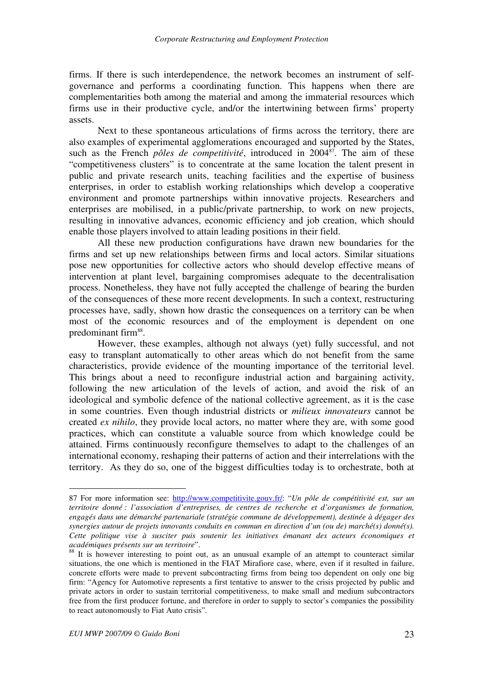firms. If there is such interdependence, the network becomes an instrument of selfgovernance and performs a coordinating function. This happens when there are complementarities both among the material and among the immaterial resources which firms use in their productive cycle, and/or the intertwining between firms' property assets.

Next to these spontaneous articulations of firms across the territory, there are also examples of experimental agglomerations encouraged and supported by the States, such as the French *pôles de competitivité*, introduced in 2004<sup>87</sup>. The aim of these "competitiveness clusters" is to concentrate at the same location the talent present in public and private research units, teaching facilities and the expertise of business enterprises, in order to establish working relationships which develop a cooperative environment and promote partnerships within innovative projects. Researchers and enterprises are mobilised, in a public/private partnership, to work on new projects, resulting in innovative advances, economic efficiency and job creation, which should enable those players involved to attain leading positions in their field.

All these new production configurations have drawn new boundaries for the firms and set up new relationships between firms and local actors. Similar situations pose new opportunities for collective actors who should develop effective means of intervention at plant level, bargaining compromises adequate to the decentralisation process. Nonetheless, they have not fully accepted the challenge of bearing the burden of the consequences of these more recent developments. In such a context, restructuring processes have, sadly, shown how drastic the consequences on a territory can be when most of the economic resources and of the employment is dependent on one predominant firm<sup>88</sup>.

However, these examples, although not always (yet) fully successful, and not easy to transplant automatically to other areas which do not benefit from the same characteristics, provide evidence of the mounting importance of the territorial level. This brings about a need to reconfigure industrial action and bargaining activity, following the new articulation of the levels of action, and avoid the risk of an ideological and symbolic defence of the national collective agreement, as it is the case in some countries. Even though industrial districts or *milieux innovateurs* cannot be created *ex nihilo*, they provide local actors, no matter where they are, with some good practices, which can constitute a valuable source from which knowledge could be attained. Firms continuously reconfigure themselves to adapt to the challenges of an international economy, reshaping their patterns of action and their interrelations with the territory. As they do so, one of the biggest difficulties today is to orchestrate, both at

<sup>87</sup> For more information see: http://www.competitivite.gouv.fr/: "*Un pôle de compétitivité est, sur un territoire donné : l'association d'entreprises, de centres de recherche et d'organismes de formation, engagés dans une démarché partenariale (stratégie commune de développement), destinée à dégager des synergies autour de projets innovants conduits en commun en direction d'un (ou de) marché(s) donné(s). Cette politique vise à susciter puis soutenir les initiatives émanant des acteurs économiques et académiques présents sur un territoire*".

<sup>&</sup>lt;sup>88</sup> It is however interesting to point out, as an unusual example of an attempt to counteract similar situations, the one which is mentioned in the FIAT Mirafiore case, where, even if it resulted in failure, concrete efforts were made to prevent subcontracting firms from being too dependent on only one big firm: "Agency for Automotive represents a first tentative to answer to the crisis projected by public and private actors in order to sustain territorial competitiveness, to make small and medium subcontractors free from the first producer fortune, and therefore in order to supply to sector's companies the possibility to react autonomously to Fiat Auto crisis".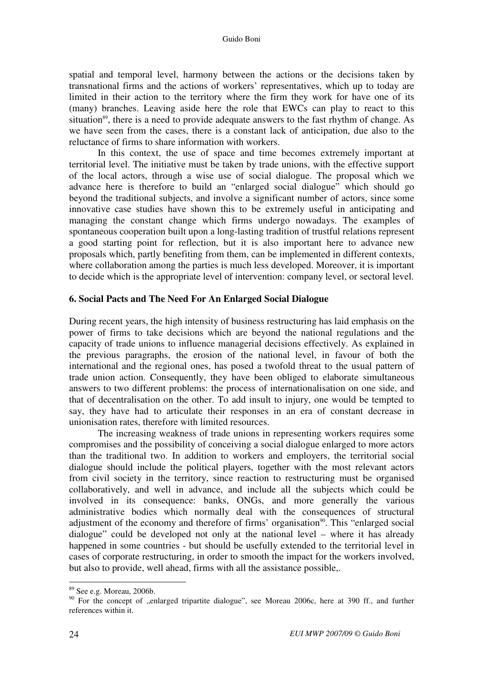spatial and temporal level, harmony between the actions or the decisions taken by transnational firms and the actions of workers' representatives, which up to today are limited in their action to the territory where the firm they work for have one of its (many) branches. Leaving aside here the role that EWCs can play to react to this situation<sup>89</sup>, there is a need to provide adequate answers to the fast rhythm of change. As we have seen from the cases, there is a constant lack of anticipation, due also to the reluctance of firms to share information with workers.

In this context, the use of space and time becomes extremely important at territorial level. The initiative must be taken by trade unions, with the effective support of the local actors, through a wise use of social dialogue. The proposal which we advance here is therefore to build an "enlarged social dialogue" which should go beyond the traditional subjects, and involve a significant number of actors, since some innovative case studies have shown this to be extremely useful in anticipating and managing the constant change which firms undergo nowadays. The examples of spontaneous cooperation built upon a long-lasting tradition of trustful relations represent a good starting point for reflection, but it is also important here to advance new proposals which, partly benefiting from them, can be implemented in different contexts, where collaboration among the parties is much less developed. Moreover, it is important to decide which is the appropriate level of intervention: company level, or sectoral level.

#### **6. Social Pacts and The Need For An Enlarged Social Dialogue**

During recent years, the high intensity of business restructuring has laid emphasis on the power of firms to take decisions which are beyond the national regulations and the capacity of trade unions to influence managerial decisions effectively. As explained in the previous paragraphs, the erosion of the national level, in favour of both the international and the regional ones, has posed a twofold threat to the usual pattern of trade union action. Consequently, they have been obliged to elaborate simultaneous answers to two different problems: the process of internationalisation on one side, and that of decentralisation on the other. To add insult to injury, one would be tempted to say, they have had to articulate their responses in an era of constant decrease in unionisation rates, therefore with limited resources.

The increasing weakness of trade unions in representing workers requires some compromises and the possibility of conceiving a social dialogue enlarged to more actors than the traditional two. In addition to workers and employers, the territorial social dialogue should include the political players, together with the most relevant actors from civil society in the territory, since reaction to restructuring must be organised collaboratively, and well in advance, and include all the subjects which could be involved in its consequence: banks, ONGs, and more generally the various administrative bodies which normally deal with the consequences of structural adjustment of the economy and therefore of firms' organisation<sup>90</sup>. This "enlarged social dialogue" could be developed not only at the national level – where it has already happened in some countries - but should be usefully extended to the territorial level in cases of corporate restructuring, in order to smooth the impact for the workers involved, but also to provide, well ahead, firms with all the assistance possible,.

<sup>89</sup> See e.g. Moreau, 2006b.

 $90$  For the concept of "enlarged tripartite dialogue", see Moreau 2006c, here at 390 ff., and further references within it.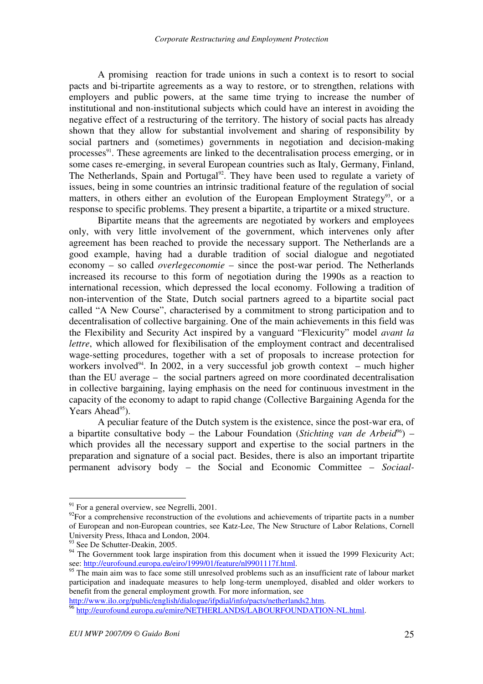A promising reaction for trade unions in such a context is to resort to social pacts and bi-tripartite agreements as a way to restore, or to strengthen, relations with employers and public powers, at the same time trying to increase the number of institutional and non-institutional subjects which could have an interest in avoiding the negative effect of a restructuring of the territory. The history of social pacts has already shown that they allow for substantial involvement and sharing of responsibility by social partners and (sometimes) governments in negotiation and decision-making processes<sup>91</sup>. These agreements are linked to the decentralisation process emerging, or in some cases re-emerging, in several European countries such as Italy, Germany, Finland, The Netherlands, Spain and Portugal<sup>92</sup>. They have been used to regulate a variety of issues, being in some countries an intrinsic traditional feature of the regulation of social matters, in others either an evolution of the European Employment Strategy<sup>93</sup>, or a response to specific problems. They present a bipartite, a tripartite or a mixed structure.

Bipartite means that the agreements are negotiated by workers and employees only, with very little involvement of the government, which intervenes only after agreement has been reached to provide the necessary support. The Netherlands are a good example, having had a durable tradition of social dialogue and negotiated economy – so called *overlegeconomie* – since the post-war period. The Netherlands increased its recourse to this form of negotiation during the 1990s as a reaction to international recession, which depressed the local economy. Following a tradition of non-intervention of the State, Dutch social partners agreed to a bipartite social pact called "A New Course", characterised by a commitment to strong participation and to decentralisation of collective bargaining. One of the main achievements in this field was the Flexibility and Security Act inspired by a vanguard "Flexicurity" model *avant la lettre*, which allowed for flexibilisation of the employment contract and decentralised wage-setting procedures, together with a set of proposals to increase protection for workers involved<sup>94</sup>. In 2002, in a very successful job growth context – much higher than the EU average – the social partners agreed on more coordinated decentralisation in collective bargaining, laying emphasis on the need for continuous investment in the capacity of the economy to adapt to rapid change (Collective Bargaining Agenda for the Years Ahead<sup>95</sup>).

A peculiar feature of the Dutch system is the existence, since the post-war era, of a bipartite consultative body – the Labour Foundation (*Stichting van de Arbeid*<sup>96</sup>) – which provides all the necessary support and expertise to the social partners in the preparation and signature of a social pact. Besides, there is also an important tripartite permanent advisory body – the Social and Economic Committee – *Sociaal-*

 $\overline{a}$ 

http://www.ilo.org/public/english/dialogue/ifpdial/info/pacts/netherlands2.htm.

 $91$  For a general overview, see Negrelli, 2001.

 $92$ For a comprehensive reconstruction of the evolutions and achievements of tripartite pacts in a number of European and non-European countries, see Katz-Lee, The New Structure of Labor Relations, Cornell University Press, Ithaca and London, 2004.

<sup>&</sup>lt;sup>93</sup> See De Schutter-Deakin, 2005.

<sup>&</sup>lt;sup>94</sup> The Government took large inspiration from this document when it issued the 1999 Flexicurity Act; see: http://eurofound.europa.eu/eiro/1999/01/feature/nl9901117f.html.

<sup>&</sup>lt;sup>95</sup> The main aim was to face some still unresolved problems such as an insufficient rate of labour market participation and inadequate measures to help long-term unemployed, disabled and older workers to benefit from the general employment growth. For more information, see

<sup>&</sup>lt;sup>96</sup> http://eurofound.europa.eu/emire/NETHERLANDS/LABOURFOUNDATION-NL.html.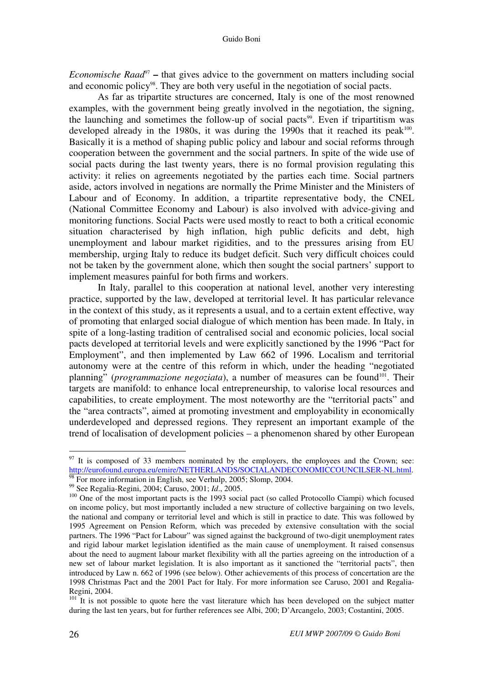*Economische Raad*<sup>97</sup> – that gives advice to the government on matters including social and economic policy<sup>98</sup>. They are both very useful in the negotiation of social pacts.

As far as tripartite structures are concerned, Italy is one of the most renowned examples, with the government being greatly involved in the negotiation, the signing, the launching and sometimes the follow-up of social pacts<sup>99</sup>. Even if tripartitism was developed already in the 1980s, it was during the 1990s that it reached its peak<sup>100</sup>. Basically it is a method of shaping public policy and labour and social reforms through cooperation between the government and the social partners. In spite of the wide use of social pacts during the last twenty years, there is no formal provision regulating this activity: it relies on agreements negotiated by the parties each time. Social partners aside, actors involved in negations are normally the Prime Minister and the Ministers of Labour and of Economy. In addition, a tripartite representative body, the CNEL (National Committee Economy and Labour) is also involved with advice-giving and monitoring functions. Social Pacts were used mostly to react to both a critical economic situation characterised by high inflation, high public deficits and debt, high unemployment and labour market rigidities, and to the pressures arising from EU membership, urging Italy to reduce its budget deficit. Such very difficult choices could not be taken by the government alone, which then sought the social partners' support to implement measures painful for both firms and workers.

In Italy, parallel to this cooperation at national level, another very interesting practice, supported by the law, developed at territorial level. It has particular relevance in the context of this study, as it represents a usual, and to a certain extent effective, way of promoting that enlarged social dialogue of which mention has been made. In Italy, in spite of a long-lasting tradition of centralised social and economic policies, local social pacts developed at territorial levels and were explicitly sanctioned by the 1996 "Pact for Employment", and then implemented by Law 662 of 1996. Localism and territorial autonomy were at the centre of this reform in which, under the heading "negotiated planning" (*programmazione negoziata*), a number of measures can be found<sup>101</sup>. Their targets are manifold: to enhance local entrepreneurship, to valorise local resources and capabilities, to create employment. The most noteworthy are the "territorial pacts" and the "area contracts", aimed at promoting investment and employability in economically underdeveloped and depressed regions. They represent an important example of the trend of localisation of development policies – a phenomenon shared by other European

 $97$  It is composed of 33 members nominated by the employers, the employees and the Crown; see: http://eurofound.europa.eu/emire/NETHERLANDS/SOCIALANDECONOMICCOUNCILSER-NL.html.  $\frac{1}{98}$  For more information in English, see Verhulp, 2005; Slomp, 2004.

<sup>99</sup> See Regalia-Regini, 2004; Caruso, 2001; *Id*., 2005.

<sup>&</sup>lt;sup>100</sup> One of the most important pacts is the 1993 social pact (so called Protocollo Ciampi) which focused on income policy, but most importantly included a new structure of collective bargaining on two levels, the national and company or territorial level and which is still in practice to date. This was followed by 1995 Agreement on Pension Reform, which was preceded by extensive consultation with the social partners. The 1996 "Pact for Labour" was signed against the background of two-digit unemployment rates and rigid labour market legislation identified as the main cause of unemployment. It raised consensus about the need to augment labour market flexibility with all the parties agreeing on the introduction of a new set of labour market legislation. It is also important as it sanctioned the "territorial pacts", then introduced by Law n. 662 of 1996 (see below). Other achievements of this process of concertation are the 1998 Christmas Pact and the 2001 Pact for Italy. For more information see Caruso, 2001 and Regalia-Regini, 2004.

 $101$  It is not possible to quote here the vast literature which has been developed on the subject matter during the last ten years, but for further references see Albi, 200; D'Arcangelo, 2003; Costantini, 2005.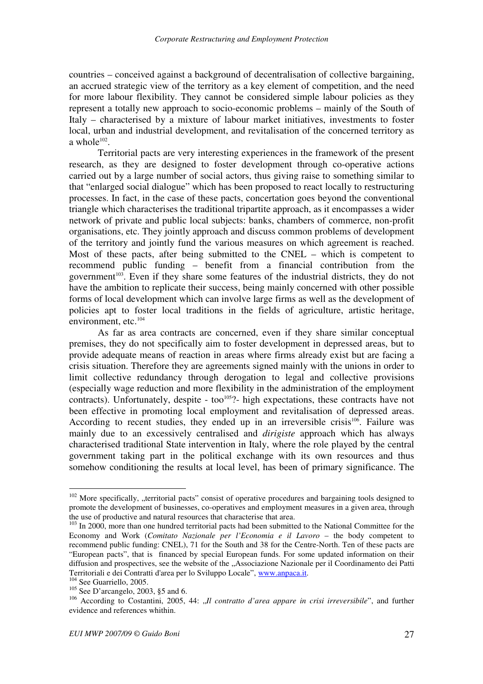countries – conceived against a background of decentralisation of collective bargaining, an accrued strategic view of the territory as a key element of competition, and the need for more labour flexibility. They cannot be considered simple labour policies as they represent a totally new approach to socio-economic problems – mainly of the South of Italy – characterised by a mixture of labour market initiatives, investments to foster local, urban and industrial development, and revitalisation of the concerned territory as a whole $102$ .

Territorial pacts are very interesting experiences in the framework of the present research, as they are designed to foster development through co-operative actions carried out by a large number of social actors, thus giving raise to something similar to that "enlarged social dialogue" which has been proposed to react locally to restructuring processes. In fact, in the case of these pacts, concertation goes beyond the conventional triangle which characterises the traditional tripartite approach, as it encompasses a wider network of private and public local subjects: banks, chambers of commerce, non-profit organisations, etc. They jointly approach and discuss common problems of development of the territory and jointly fund the various measures on which agreement is reached. Most of these pacts, after being submitted to the CNEL – which is competent to recommend public funding – benefit from a financial contribution from the government<sup>103</sup>. Even if they share some features of the industrial districts, they do not have the ambition to replicate their success, being mainly concerned with other possible forms of local development which can involve large firms as well as the development of policies apt to foster local traditions in the fields of agriculture, artistic heritage, environment, etc. $^{104}$ 

As far as area contracts are concerned, even if they share similar conceptual premises, they do not specifically aim to foster development in depressed areas, but to provide adequate means of reaction in areas where firms already exist but are facing a crisis situation. Therefore they are agreements signed mainly with the unions in order to limit collective redundancy through derogation to legal and collective provisions (especially wage reduction and more flexibility in the administration of the employment contracts). Unfortunately, despite - too<sup>105</sup>?- high expectations, these contracts have not been effective in promoting local employment and revitalisation of depressed areas. According to recent studies, they ended up in an irreversible crisis<sup>106</sup>. Failure was mainly due to an excessively centralised and *dirigiste* approach which has always characterised traditional State intervention in Italy, where the role played by the central government taking part in the political exchange with its own resources and thus somehow conditioning the results at local level, has been of primary significance. The

 $102$  More specifically, "territorial pacts" consist of operative procedures and bargaining tools designed to promote the development of businesses, co-operatives and employment measures in a given area, through the use of productive and natural resources that characterise that area.

 $103$  In 2000, more than one hundred territorial pacts had been submitted to the National Committee for the Economy and Work (*Comitato Nazionale per l'Economia e il Lavoro* – the body competent to recommend public funding: CNEL), 71 for the South and 38 for the Centre-North. Ten of these pacts are "European pacts", that is financed by special European funds. For some updated information on their diffusion and prospectives, see the website of the "Associazione Nazionale per il Coordinamento dei Patti Territoriali e dei Contratti d'area per lo Sviluppo Locale", www.anpaca.it.

<sup>&</sup>lt;sup>104</sup> See Guarriello, 2005.

 $105$  See D'arcangelo, 2003, §5 and 6.

<sup>&</sup>lt;sup>106</sup> According to Costantini, 2005, 44: "*Il contratto d'area appare in crisi irreversibile*", and further evidence and references whithin.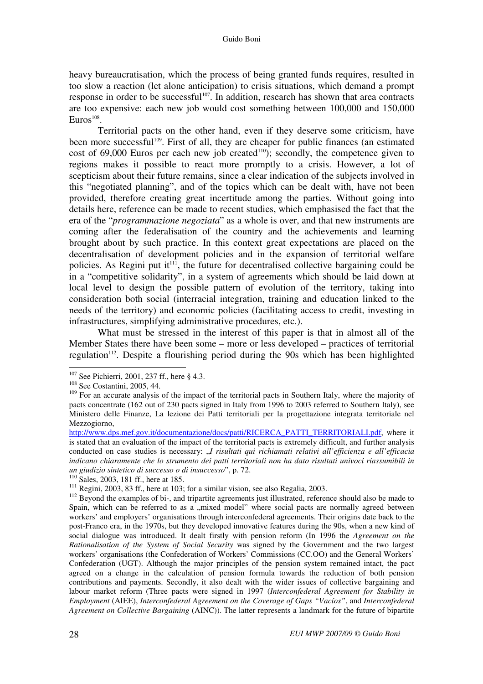heavy bureaucratisation, which the process of being granted funds requires, resulted in too slow a reaction (let alone anticipation) to crisis situations, which demand a prompt response in order to be successful<sup>107</sup>. In addition, research has shown that area contracts are too expensive: each new job would cost something between 100,000 and 150,000  $Euros<sup>108</sup>$ .

Territorial pacts on the other hand, even if they deserve some criticism, have been more successful<sup>109</sup>. First of all, they are cheaper for public finances (an estimated cost of  $69,000$  Euros per each new job created<sup>110</sup>); secondly, the competence given to regions makes it possible to react more promptly to a crisis. However, a lot of scepticism about their future remains, since a clear indication of the subjects involved in this "negotiated planning", and of the topics which can be dealt with, have not been provided, therefore creating great incertitude among the parties. Without going into details here, reference can be made to recent studies, which emphasised the fact that the era of the "*programmazione negoziata*" as a whole is over, and that new instruments are coming after the federalisation of the country and the achievements and learning brought about by such practice. In this context great expectations are placed on the decentralisation of development policies and in the expansion of territorial welfare policies. As Regini put it<sup> $111$ </sup>, the future for decentralised collective bargaining could be in a "competitive solidarity", in a system of agreements which should be laid down at local level to design the possible pattern of evolution of the territory, taking into consideration both social (interracial integration, training and education linked to the needs of the territory) and economic policies (facilitating access to credit, investing in infrastructures, simplifying administrative procedures, etc.).

What must be stressed in the interest of this paper is that in almost all of the Member States there have been some – more or less developed – practices of territorial regulation<sup>112</sup>. Despite a flourishing period during the 90s which has been highlighted

<sup>&</sup>lt;sup>107</sup> See Pichierri, 2001, 237 ff., here § 4.3.

<sup>108</sup> See Costantini, 2005, 44.

<sup>&</sup>lt;sup>109</sup> For an accurate analysis of the impact of the territorial pacts in Southern Italy, where the majority of pacts concentrate (162 out of 230 pacts signed in Italy from 1996 to 2003 referred to Southern Italy), see Ministero delle Finanze, La lezione dei Patti territoriali per la progettazione integrata territoriale nel Mezzogiorno,

http://www.dps.mef.gov.it/documentazione/docs/patti/RICERCA\_PATTI\_TERRITORIALI.pdf, where it is stated that an evaluation of the impact of the territorial pacts is extremely difficult, and further analysis conducted on case studies is necessary: "*I risultati qui richiamati relativi all'efficienza e all'efficacia indicano chiaramente che lo strumento dei patti territoriali non ha dato risultati univoci riassumibili in un giudizio sintetico di successo o di insuccesso*", p. 72.

<sup>&</sup>lt;sup>110</sup> Sales, 2003, 181 ff., here at 185.

 $111$  Regini, 2003, 83 ff., here at 103; for a similar vision, see also Regalia, 2003.

<sup>&</sup>lt;sup>112</sup> Beyond the examples of bi-, and tripartite agreements just illustrated, reference should also be made to Spain, which can be referred to as a "mixed model" where social pacts are normally agreed between workers' and employers' organisations through interconfederal agreements. Their origins date back to the post-Franco era, in the 1970s, but they developed innovative features during the 90s, when a new kind of social dialogue was introduced. It dealt firstly with pension reform (In 1996 the *Agreement on the Rationalisation of the System of Social Security* was signed by the Government and the two largest workers' organisations (the Confederation of Workers' Commissions (CC.OO) and the General Workers' Confederation (UGT). Although the major principles of the pension system remained intact, the pact agreed on a change in the calculation of pension formula towards the reduction of both pension contributions and payments. Secondly, it also dealt with the wider issues of collective bargaining and labour market reform (Three pacts were signed in 1997 (*Interconfederal Agreement for Stability in Employment* (AIEE), *Interconfederal Agreement on the Coverage of Gaps "Vacíos"*, and *Interconfederal Agreement on Collective Bargaining* (AINC)). The latter represents a landmark for the future of bipartite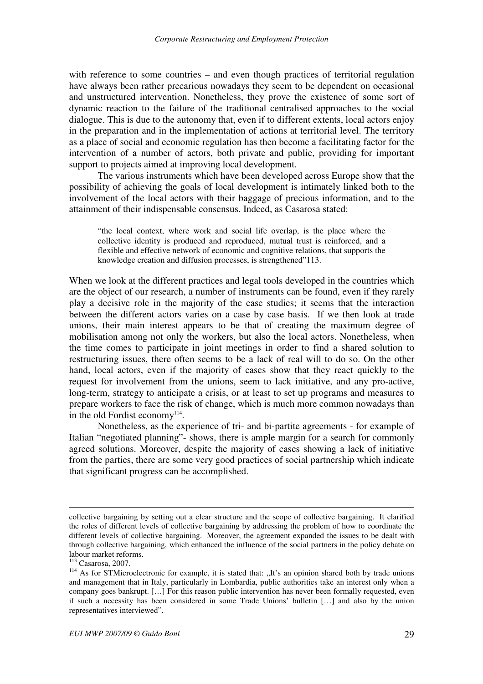with reference to some countries – and even though practices of territorial regulation have always been rather precarious nowadays they seem to be dependent on occasional and unstructured intervention. Nonetheless, they prove the existence of some sort of dynamic reaction to the failure of the traditional centralised approaches to the social dialogue. This is due to the autonomy that, even if to different extents, local actors enjoy in the preparation and in the implementation of actions at territorial level. The territory as a place of social and economic regulation has then become a facilitating factor for the intervention of a number of actors, both private and public, providing for important support to projects aimed at improving local development.

The various instruments which have been developed across Europe show that the possibility of achieving the goals of local development is intimately linked both to the involvement of the local actors with their baggage of precious information, and to the attainment of their indispensable consensus. Indeed, as Casarosa stated:

"the local context, where work and social life overlap, is the place where the collective identity is produced and reproduced, mutual trust is reinforced, and a flexible and effective network of economic and cognitive relations, that supports the knowledge creation and diffusion processes, is strengthened"113.

When we look at the different practices and legal tools developed in the countries which are the object of our research, a number of instruments can be found, even if they rarely play a decisive role in the majority of the case studies; it seems that the interaction between the different actors varies on a case by case basis. If we then look at trade unions, their main interest appears to be that of creating the maximum degree of mobilisation among not only the workers, but also the local actors. Nonetheless, when the time comes to participate in joint meetings in order to find a shared solution to restructuring issues, there often seems to be a lack of real will to do so. On the other hand, local actors, even if the majority of cases show that they react quickly to the request for involvement from the unions, seem to lack initiative, and any pro-active, long-term, strategy to anticipate a crisis, or at least to set up programs and measures to prepare workers to face the risk of change, which is much more common nowadays than in the old Fordist economy<sup>114</sup>.

Nonetheless, as the experience of tri- and bi-partite agreements - for example of Italian "negotiated planning"- shows, there is ample margin for a search for commonly agreed solutions. Moreover, despite the majority of cases showing a lack of initiative from the parties, there are some very good practices of social partnership which indicate that significant progress can be accomplished.

<u>.</u>

collective bargaining by setting out a clear structure and the scope of collective bargaining. It clarified the roles of different levels of collective bargaining by addressing the problem of how to coordinate the different levels of collective bargaining. Moreover, the agreement expanded the issues to be dealt with through collective bargaining, which enhanced the influence of the social partners in the policy debate on labour market reforms.

<sup>113</sup> Casarosa, 2007.

<sup>&</sup>lt;sup>114</sup> As for STMicroelectronic for example, it is stated that: "It's an opinion shared both by trade unions and management that in Italy, particularly in Lombardia, public authorities take an interest only when a company goes bankrupt. […] For this reason public intervention has never been formally requested, even if such a necessity has been considered in some Trade Unions' bulletin […] and also by the union representatives interviewed".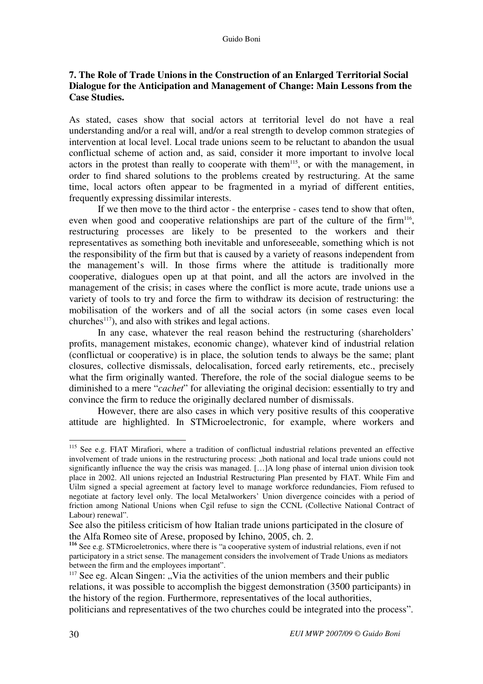# **7. The Role of Trade Unions in the Construction of an Enlarged Territorial Social Dialogue for the Anticipation and Management of Change: Main Lessons from the Case Studies.**

As stated, cases show that social actors at territorial level do not have a real understanding and/or a real will, and/or a real strength to develop common strategies of intervention at local level. Local trade unions seem to be reluctant to abandon the usual conflictual scheme of action and, as said, consider it more important to involve local actors in the protest than really to cooperate with them<sup>115</sup>, or with the management, in order to find shared solutions to the problems created by restructuring. At the same time, local actors often appear to be fragmented in a myriad of different entities, frequently expressing dissimilar interests.

If we then move to the third actor - the enterprise - cases tend to show that often, even when good and cooperative relationships are part of the culture of the firm<sup>116</sup>, restructuring processes are likely to be presented to the workers and their representatives as something both inevitable and unforeseeable, something which is not the responsibility of the firm but that is caused by a variety of reasons independent from the management's will. In those firms where the attitude is traditionally more cooperative, dialogues open up at that point, and all the actors are involved in the management of the crisis; in cases where the conflict is more acute, trade unions use a variety of tools to try and force the firm to withdraw its decision of restructuring: the mobilisation of the workers and of all the social actors (in some cases even local  $\mu$ churches<sup>117</sup>), and also with strikes and legal actions.

In any case, whatever the real reason behind the restructuring (shareholders' profits, management mistakes, economic change), whatever kind of industrial relation (conflictual or cooperative) is in place, the solution tends to always be the same; plant closures, collective dismissals, delocalisation, forced early retirements, etc., precisely what the firm originally wanted. Therefore, the role of the social dialogue seems to be diminished to a mere "*cachet*" for alleviating the original decision: essentially to try and convince the firm to reduce the originally declared number of dismissals.

However, there are also cases in which very positive results of this cooperative attitude are highlighted. In STMicroelectronic, for example, where workers and

 $\overline{a}$ <sup>115</sup> See e.g. FIAT Mirafiori, where a tradition of conflictual industrial relations prevented an effective involvement of trade unions in the restructuring process: "both national and local trade unions could not significantly influence the way the crisis was managed. […]A long phase of internal union division took place in 2002. All unions rejected an Industrial Restructuring Plan presented by FIAT. While Fim and Uilm signed a special agreement at factory level to manage workforce redundancies, Fiom refused to negotiate at factory level only. The local Metalworkers' Union divergence coincides with a period of friction among National Unions when Cgil refuse to sign the CCNL (Collective National Contract of Labour) renewal".

See also the pitiless criticism of how Italian trade unions participated in the closure of the Alfa Romeo site of Arese, proposed by Ichino, 2005, ch. 2.

**<sup>116</sup>** See e.g. STMicroeletronics, where there is "a cooperative system of industrial relations, even if not participatory in a strict sense. The management considers the involvement of Trade Unions as mediators between the firm and the employees important".

 $117$  See eg. Alcan Singen: "Via the activities of the union members and their public relations, it was possible to accomplish the biggest demonstration (3500 participants) in the history of the region. Furthermore, representatives of the local authorities,

politicians and representatives of the two churches could be integrated into the process".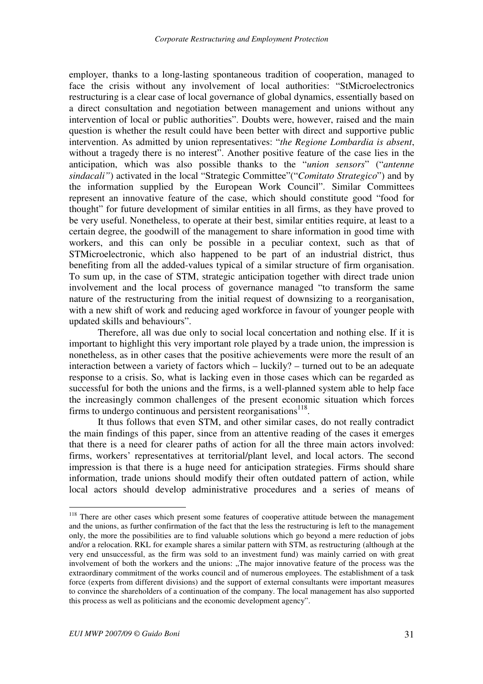employer, thanks to a long-lasting spontaneous tradition of cooperation, managed to face the crisis without any involvement of local authorities: "StMicroelectronics restructuring is a clear case of local governance of global dynamics, essentially based on a direct consultation and negotiation between management and unions without any intervention of local or public authorities". Doubts were, however, raised and the main question is whether the result could have been better with direct and supportive public intervention. As admitted by union representatives: "*the Regione Lombardia is absent*, without a tragedy there is no interest". Another positive feature of the case lies in the anticipation, which was also possible thanks to the "*union sensors*" ("*antenne sindacali"*) activated in the local "Strategic Committee"("*Comitato Strategico*") and by the information supplied by the European Work Council". Similar Committees represent an innovative feature of the case, which should constitute good "food for thought" for future development of similar entities in all firms, as they have proved to be very useful. Nonetheless, to operate at their best, similar entities require, at least to a certain degree, the goodwill of the management to share information in good time with workers, and this can only be possible in a peculiar context, such as that of STMicroelectronic, which also happened to be part of an industrial district, thus benefiting from all the added-values typical of a similar structure of firm organisation. To sum up, in the case of STM, strategic anticipation together with direct trade union involvement and the local process of governance managed "to transform the same nature of the restructuring from the initial request of downsizing to a reorganisation, with a new shift of work and reducing aged workforce in favour of younger people with updated skills and behaviours".

Therefore, all was due only to social local concertation and nothing else. If it is important to highlight this very important role played by a trade union, the impression is nonetheless, as in other cases that the positive achievements were more the result of an interaction between a variety of factors which – luckily? – turned out to be an adequate response to a crisis. So, what is lacking even in those cases which can be regarded as successful for both the unions and the firms, is a well-planned system able to help face the increasingly common challenges of the present economic situation which forces firms to undergo continuous and persistent reorganisations $118$ .

It thus follows that even STM, and other similar cases, do not really contradict the main findings of this paper, since from an attentive reading of the cases it emerges that there is a need for clearer paths of action for all the three main actors involved: firms, workers' representatives at territorial/plant level, and local actors. The second impression is that there is a huge need for anticipation strategies. Firms should share information, trade unions should modify their often outdated pattern of action, while local actors should develop administrative procedures and a series of means of

<sup>&</sup>lt;sup>118</sup> There are other cases which present some features of cooperative attitude between the management and the unions, as further confirmation of the fact that the less the restructuring is left to the management only, the more the possibilities are to find valuable solutions which go beyond a mere reduction of jobs and/or a relocation. RKL for example shares a similar pattern with STM, as restructuring (although at the very end unsuccessful, as the firm was sold to an investment fund) was mainly carried on with great involvement of both the workers and the unions: "The major innovative feature of the process was the extraordinary commitment of the works council and of numerous employees. The establishment of a task force (experts from different divisions) and the support of external consultants were important measures to convince the shareholders of a continuation of the company. The local management has also supported this process as well as politicians and the economic development agency".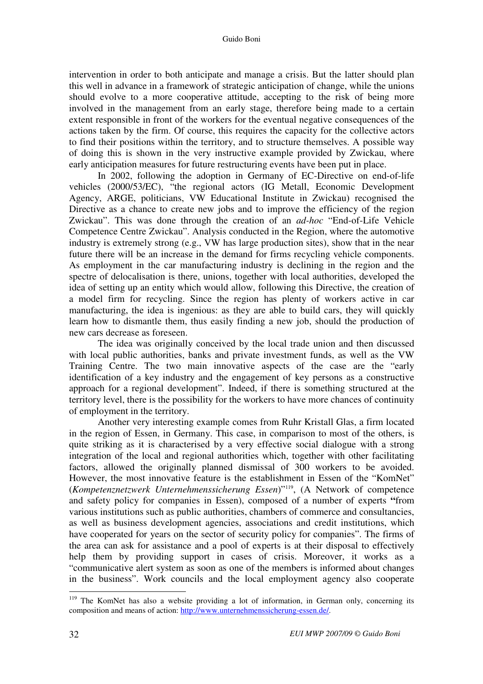intervention in order to both anticipate and manage a crisis. But the latter should plan this well in advance in a framework of strategic anticipation of change, while the unions should evolve to a more cooperative attitude, accepting to the risk of being more involved in the management from an early stage, therefore being made to a certain extent responsible in front of the workers for the eventual negative consequences of the actions taken by the firm. Of course, this requires the capacity for the collective actors to find their positions within the territory, and to structure themselves. A possible way of doing this is shown in the very instructive example provided by Zwickau, where early anticipation measures for future restructuring events have been put in place.

In 2002, following the adoption in Germany of EC-Directive on end-of-life vehicles (2000/53/EC), "the regional actors (IG Metall, Economic Development Agency, ARGE, politicians, VW Educational Institute in Zwickau) recognised the Directive as a chance to create new jobs and to improve the efficiency of the region Zwickau". This was done through the creation of an *ad-hoc* "End-of-Life Vehicle Competence Centre Zwickau". Analysis conducted in the Region, where the automotive industry is extremely strong (e.g., VW has large production sites), show that in the near future there will be an increase in the demand for firms recycling vehicle components. As employment in the car manufacturing industry is declining in the region and the spectre of delocalisation is there, unions, together with local authorities, developed the idea of setting up an entity which would allow, following this Directive, the creation of a model firm for recycling. Since the region has plenty of workers active in car manufacturing, the idea is ingenious: as they are able to build cars, they will quickly learn how to dismantle them, thus easily finding a new job, should the production of new cars decrease as foreseen.

The idea was originally conceived by the local trade union and then discussed with local public authorities, banks and private investment funds, as well as the VW Training Centre. The two main innovative aspects of the case are the "early identification of a key industry and the engagement of key persons as a constructive approach for a regional development". Indeed, if there is something structured at the territory level, there is the possibility for the workers to have more chances of continuity of employment in the territory.

Another very interesting example comes from Ruhr Kristall Glas, a firm located in the region of Essen, in Germany. This case, in comparison to most of the others, is quite striking as it is characterised by a very effective social dialogue with a strong integration of the local and regional authorities which, together with other facilitating factors, allowed the originally planned dismissal of 300 workers to be avoided. However, the most innovative feature is the establishment in Essen of the "KomNet" (*Kompetenznetzwerk Unternehmenssicherung Essen*)"<sup>119</sup>, (A Network of competence and safety policy for companies in Essen), composed of a number of experts **"**from various institutions such as public authorities, chambers of commerce and consultancies, as well as business development agencies, associations and credit institutions, which have cooperated for years on the sector of security policy for companies". The firms of the area can ask for assistance and a pool of experts is at their disposal to effectively help them by providing support in cases of crisis. Moreover, it works as a "communicative alert system as soon as one of the members is informed about changes in the business". Work councils and the local employment agency also cooperate

<sup>&</sup>lt;sup>119</sup> The KomNet has also a website providing a lot of information, in German only, concerning its composition and means of action: http://www.unternehmenssicherung-essen.de/.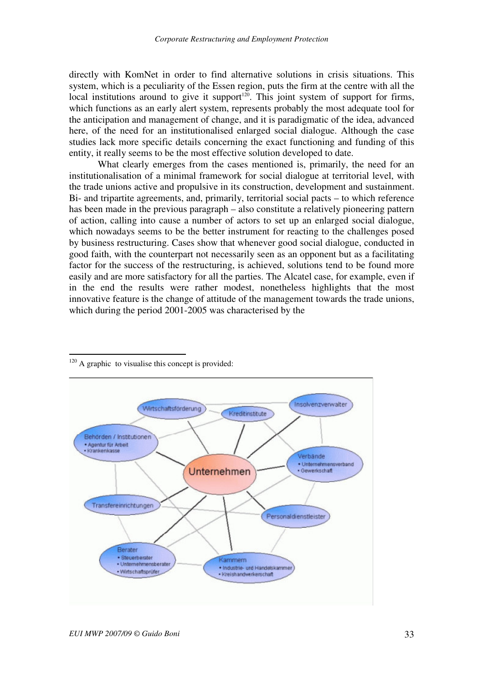directly with KomNet in order to find alternative solutions in crisis situations. This system, which is a peculiarity of the Essen region, puts the firm at the centre with all the local institutions around to give it support<sup>120</sup>. This joint system of support for firms, which functions as an early alert system, represents probably the most adequate tool for the anticipation and management of change, and it is paradigmatic of the idea, advanced here, of the need for an institutionalised enlarged social dialogue. Although the case studies lack more specific details concerning the exact functioning and funding of this entity, it really seems to be the most effective solution developed to date.

What clearly emerges from the cases mentioned is, primarily, the need for an institutionalisation of a minimal framework for social dialogue at territorial level, with the trade unions active and propulsive in its construction, development and sustainment. Bi- and tripartite agreements, and, primarily, territorial social pacts – to which reference has been made in the previous paragraph – also constitute a relatively pioneering pattern of action, calling into cause a number of actors to set up an enlarged social dialogue, which nowadays seems to be the better instrument for reacting to the challenges posed by business restructuring. Cases show that whenever good social dialogue, conducted in good faith, with the counterpart not necessarily seen as an opponent but as a facilitating factor for the success of the restructuring, is achieved, solutions tend to be found more easily and are more satisfactory for all the parties. The Alcatel case, for example, even if in the end the results were rather modest, nonetheless highlights that the most innovative feature is the change of attitude of the management towards the trade unions, which during the period 2001-2005 was characterised by the



 $\overline{a}$  $120$  A graphic to visualise this concept is provided: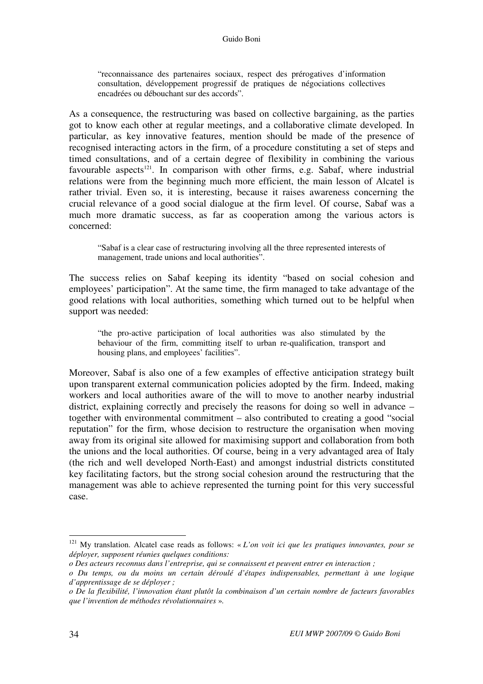"reconnaissance des partenaires sociaux, respect des prérogatives d'information consultation, développement progressif de pratiques de négociations collectives encadrées ou débouchant sur des accords".

As a consequence, the restructuring was based on collective bargaining, as the parties got to know each other at regular meetings, and a collaborative climate developed. In particular, as key innovative features, mention should be made of the presence of recognised interacting actors in the firm, of a procedure constituting a set of steps and timed consultations, and of a certain degree of flexibility in combining the various favourable aspects<sup>121</sup>. In comparison with other firms, e.g. Sabaf, where industrial relations were from the beginning much more efficient, the main lesson of Alcatel is rather trivial. Even so, it is interesting, because it raises awareness concerning the crucial relevance of a good social dialogue at the firm level. Of course, Sabaf was a much more dramatic success, as far as cooperation among the various actors is concerned:

"Sabaf is a clear case of restructuring involving all the three represented interests of management, trade unions and local authorities".

The success relies on Sabaf keeping its identity "based on social cohesion and employees' participation". At the same time, the firm managed to take advantage of the good relations with local authorities, something which turned out to be helpful when support was needed:

"the pro-active participation of local authorities was also stimulated by the behaviour of the firm, committing itself to urban re-qualification, transport and housing plans, and employees' facilities".

Moreover, Sabaf is also one of a few examples of effective anticipation strategy built upon transparent external communication policies adopted by the firm. Indeed, making workers and local authorities aware of the will to move to another nearby industrial district, explaining correctly and precisely the reasons for doing so well in advance – together with environmental commitment – also contributed to creating a good "social reputation" for the firm, whose decision to restructure the organisation when moving away from its original site allowed for maximising support and collaboration from both the unions and the local authorities. Of course, being in a very advantaged area of Italy (the rich and well developed North-East) and amongst industrial districts constituted key facilitating factors, but the strong social cohesion around the restructuring that the management was able to achieve represented the turning point for this very successful case.

<sup>121</sup> My translation. Alcatel case reads as follows: « *L'on voit ici que les pratiques innovantes, pour se déployer, supposent réunies quelques conditions:* 

*o Des acteurs reconnus dans l'entreprise, qui se connaissent et peuvent entrer en interaction ;* 

*o Du temps, ou du moins un certain déroulé d'étapes indispensables, permettant à une logique d'apprentissage de se déployer ;* 

*o De la flexibilité, l'innovation étant plutôt la combinaison d'un certain nombre de facteurs favorables que l'invention de méthodes révolutionnaires* »*.*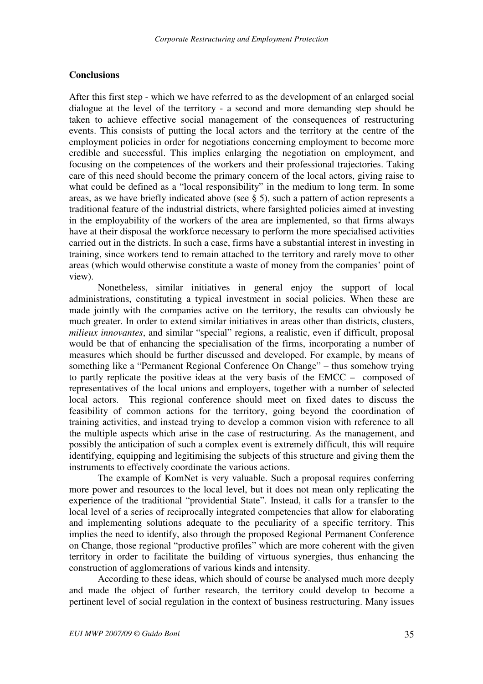#### **Conclusions**

After this first step - which we have referred to as the development of an enlarged social dialogue at the level of the territory - a second and more demanding step should be taken to achieve effective social management of the consequences of restructuring events. This consists of putting the local actors and the territory at the centre of the employment policies in order for negotiations concerning employment to become more credible and successful. This implies enlarging the negotiation on employment, and focusing on the competences of the workers and their professional trajectories. Taking care of this need should become the primary concern of the local actors, giving raise to what could be defined as a "local responsibility" in the medium to long term. In some areas, as we have briefly indicated above (see § 5), such a pattern of action represents a traditional feature of the industrial districts, where farsighted policies aimed at investing in the employability of the workers of the area are implemented, so that firms always have at their disposal the workforce necessary to perform the more specialised activities carried out in the districts. In such a case, firms have a substantial interest in investing in training, since workers tend to remain attached to the territory and rarely move to other areas (which would otherwise constitute a waste of money from the companies' point of view).

Nonetheless, similar initiatives in general enjoy the support of local administrations, constituting a typical investment in social policies. When these are made jointly with the companies active on the territory, the results can obviously be much greater. In order to extend similar initiatives in areas other than districts, clusters, *milieux innovantes*, and similar "special" regions, a realistic, even if difficult, proposal would be that of enhancing the specialisation of the firms, incorporating a number of measures which should be further discussed and developed. For example, by means of something like a "Permanent Regional Conference On Change" – thus somehow trying to partly replicate the positive ideas at the very basis of the EMCC – composed of representatives of the local unions and employers, together with a number of selected local actors. This regional conference should meet on fixed dates to discuss the feasibility of common actions for the territory, going beyond the coordination of training activities, and instead trying to develop a common vision with reference to all the multiple aspects which arise in the case of restructuring. As the management, and possibly the anticipation of such a complex event is extremely difficult, this will require identifying, equipping and legitimising the subjects of this structure and giving them the instruments to effectively coordinate the various actions.

The example of KomNet is very valuable. Such a proposal requires conferring more power and resources to the local level, but it does not mean only replicating the experience of the traditional "providential State". Instead, it calls for a transfer to the local level of a series of reciprocally integrated competencies that allow for elaborating and implementing solutions adequate to the peculiarity of a specific territory. This implies the need to identify, also through the proposed Regional Permanent Conference on Change, those regional "productive profiles" which are more coherent with the given territory in order to facilitate the building of virtuous synergies, thus enhancing the construction of agglomerations of various kinds and intensity.

According to these ideas, which should of course be analysed much more deeply and made the object of further research, the territory could develop to become a pertinent level of social regulation in the context of business restructuring. Many issues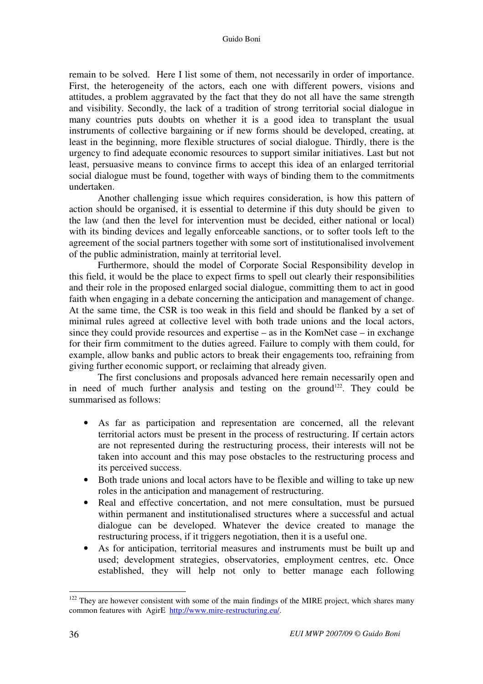remain to be solved. Here I list some of them, not necessarily in order of importance. First, the heterogeneity of the actors, each one with different powers, visions and attitudes, a problem aggravated by the fact that they do not all have the same strength and visibility. Secondly, the lack of a tradition of strong territorial social dialogue in many countries puts doubts on whether it is a good idea to transplant the usual instruments of collective bargaining or if new forms should be developed, creating, at least in the beginning, more flexible structures of social dialogue. Thirdly, there is the urgency to find adequate economic resources to support similar initiatives. Last but not least, persuasive means to convince firms to accept this idea of an enlarged territorial social dialogue must be found, together with ways of binding them to the commitments undertaken.

Another challenging issue which requires consideration, is how this pattern of action should be organised, it is essential to determine if this duty should be given to the law (and then the level for intervention must be decided, either national or local) with its binding devices and legally enforceable sanctions, or to softer tools left to the agreement of the social partners together with some sort of institutionalised involvement of the public administration, mainly at territorial level.

Furthermore, should the model of Corporate Social Responsibility develop in this field, it would be the place to expect firms to spell out clearly their responsibilities and their role in the proposed enlarged social dialogue, committing them to act in good faith when engaging in a debate concerning the anticipation and management of change. At the same time, the CSR is too weak in this field and should be flanked by a set of minimal rules agreed at collective level with both trade unions and the local actors, since they could provide resources and expertise – as in the KomNet case – in exchange for their firm commitment to the duties agreed. Failure to comply with them could, for example, allow banks and public actors to break their engagements too, refraining from giving further economic support, or reclaiming that already given.

The first conclusions and proposals advanced here remain necessarily open and in need of much further analysis and testing on the ground<sup>122</sup>. They could be summarised as follows:

- As far as participation and representation are concerned, all the relevant territorial actors must be present in the process of restructuring. If certain actors are not represented during the restructuring process, their interests will not be taken into account and this may pose obstacles to the restructuring process and its perceived success.
- Both trade unions and local actors have to be flexible and willing to take up new roles in the anticipation and management of restructuring.
- Real and effective concertation, and not mere consultation, must be pursued within permanent and institutionalised structures where a successful and actual dialogue can be developed. Whatever the device created to manage the restructuring process, if it triggers negotiation, then it is a useful one.
- As for anticipation, territorial measures and instruments must be built up and used; development strategies, observatories, employment centres, etc. Once established, they will help not only to better manage each following

 $122$  They are however consistent with some of the main findings of the MIRE project, which shares many common features with AgirE http://www.mire-restructuring.eu/.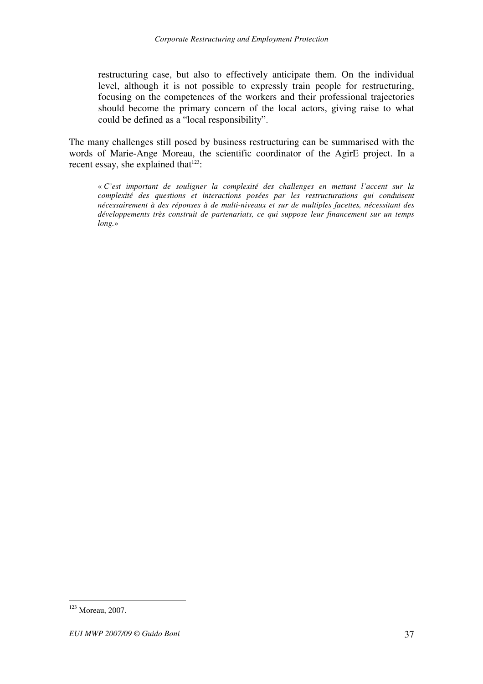restructuring case, but also to effectively anticipate them. On the individual level, although it is not possible to expressly train people for restructuring, focusing on the competences of the workers and their professional trajectories should become the primary concern of the local actors, giving raise to what could be defined as a "local responsibility".

The many challenges still posed by business restructuring can be summarised with the words of Marie-Ange Moreau, the scientific coordinator of the AgirE project. In a recent essay, she explained that<sup>123</sup>:

« *C'est important de souligner la complexité des challenges en mettant l'accent sur la complexité des questions et interactions posées par les restructurations qui conduisent nécessairement à des réponses à de multi-niveaux et sur de multiples facettes, nécessitant des développements très construit de partenariats, ce qui suppose leur financement sur un temps long.*»

<sup>123</sup> Moreau, 2007.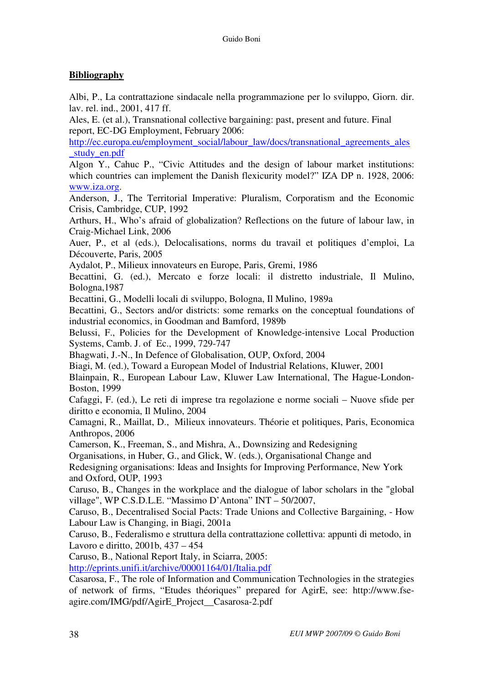# **Bibliography**

Albi, P., La contrattazione sindacale nella programmazione per lo sviluppo, Giorn. dir. lav. rel. ind., 2001, 417 ff.

Ales, E. (et al.), Transnational collective bargaining: past, present and future. Final report, EC-DG Employment, February 2006:

http://ec.europa.eu/employment\_social/labour\_law/docs/transnational\_agreements\_ales \_study\_en.pdf

Algon Y., Cahuc P., "Civic Attitudes and the design of labour market institutions: which countries can implement the Danish flexicurity model?" IZA DP n. 1928, 2006: www.iza.org.

Anderson, J., The Territorial Imperative: Pluralism, Corporatism and the Economic Crisis, Cambridge, CUP, 1992

Arthurs, H., Who's afraid of globalization? Reflections on the future of labour law, in Craig-Michael Link, 2006

Auer, P., et al (eds.), Delocalisations, norms du travail et politiques d'emploi, La Découverte, Paris, 2005

Aydalot, P., Milieux innovateurs en Europe, Paris, Gremi, 1986

Becattini, G. (ed.), Mercato e forze locali: il distretto industriale, Il Mulino, Bologna,1987

Becattini, G., Modelli locali di sviluppo, Bologna, Il Mulino, 1989a

Becattini, G., Sectors and/or districts: some remarks on the conceptual foundations of industrial economics, in Goodman and Bamford, 1989b

Belussi, F., Policies for the Development of Knowledge-intensive Local Production Systems, Camb. J. of Ec., 1999, 729-747

Bhagwati, J.-N., In Defence of Globalisation, OUP, Oxford, 2004

Biagi, M. (ed.), Toward a European Model of Industrial Relations, Kluwer, 2001

Blainpain, R., European Labour Law, Kluwer Law International, The Hague-London-Boston, 1999

Cafaggi, F. (ed.), Le reti di imprese tra regolazione e norme sociali – Nuove sfide per diritto e economia, Il Mulino, 2004

Camagni, R., Maillat, D., Milieux innovateurs. Théorie et politiques, Paris, Economica Anthropos, 2006

Camerson, K., Freeman, S., and Mishra, A., Downsizing and Redesigning

Organisations, in Huber, G., and Glick, W. (eds.), Organisational Change and

Redesigning organisations: Ideas and Insights for Improving Performance, New York and Oxford, OUP, 1993

Caruso, B., Changes in the workplace and the dialogue of labor scholars in the "global village", WP C.S.D.L.E. "Massimo D'Antona" INT – 50/2007,

Caruso, B., Decentralised Social Pacts: Trade Unions and Collective Bargaining, - How Labour Law is Changing, in Biagi, 2001a

Caruso, B., Federalismo e struttura della contrattazione collettiva: appunti di metodo, in Lavoro e diritto, 2001b, 437 – 454

Caruso, B., National Report Italy, in Sciarra, 2005:

http://eprints.unifi.it/archive/00001164/01/Italia.pdf

Casarosa, F., The role of Information and Communication Technologies in the strategies of network of firms, "Etudes théoriques" prepared for AgirE, see: http://www.fseagire.com/IMG/pdf/AgirE\_Project\_\_Casarosa-2.pdf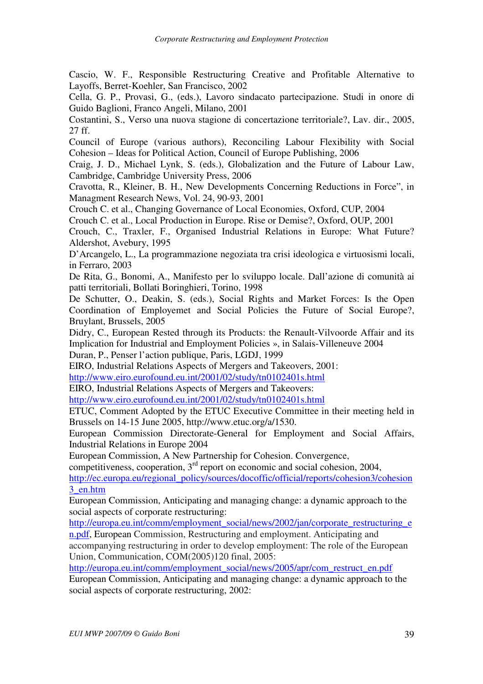Cascio, W. F., Responsible Restructuring Creative and Profitable Alternative to Layoffs, Berret-Koehler, San Francisco, 2002

Cella, G. P., Provasi, G., (eds.), Lavoro sindacato partecipazione. Studi in onore di Guido Baglioni, Franco Angeli, Milano, 2001

Costantini, S., Verso una nuova stagione di concertazione territoriale?, Lav. dir., 2005, 27 ff.

Council of Europe (various authors), Reconciling Labour Flexibility with Social Cohesion – Ideas for Political Action, Council of Europe Publishing, 2006

Craig, J. D., Michael Lynk, S. (eds.), Globalization and the Future of Labour Law, Cambridge, Cambridge University Press, 2006

Cravotta, R., Kleiner, B. H., New Developments Concerning Reductions in Force", in Managment Research News, Vol. 24, 90-93, 2001

Crouch C. et al., Changing Governance of Local Economies, Oxford, CUP, 2004

Crouch C. et al., Local Production in Europe. Rise or Demise?, Oxford, OUP, 2001

Crouch, C., Traxler, F., Organised Industrial Relations in Europe: What Future? Aldershot, Avebury, 1995

D'Arcangelo, L., La programmazione negoziata tra crisi ideologica e virtuosismi locali, in Ferraro, 2003

De Rita, G., Bonomi, A., Manifesto per lo sviluppo locale. Dall'azione di comunità ai patti territoriali, Bollati Boringhieri, Torino, 1998

De Schutter, O., Deakin, S. (eds.), Social Rights and Market Forces: Is the Open Coordination of Employemet and Social Policies the Future of Social Europe?, Bruylant, Brussels, 2005

Didry, C., European Rested through its Products: the Renault-Vilvoorde Affair and its Implication for Industrial and Employment Policies », in Salais-Villeneuve 2004 Duran, P., Penser l'action publique, Paris, LGDJ, 1999

EIRO, Industrial Relations Aspects of Mergers and Takeovers, 2001:

http://www.eiro.eurofound.eu.int/2001/02/study/tn0102401s.html

EIRO, Industrial Relations Aspects of Mergers and Takeovers:

http://www.eiro.eurofound.eu.int/2001/02/study/tn0102401s.html

ETUC, Comment Adopted by the ETUC Executive Committee in their meeting held in Brussels on 14-15 June 2005, http://www.etuc.org/a/1530.

European Commission Directorate-General for Employment and Social Affairs, Industrial Relations in Europe 2004

European Commission, A New Partnership for Cohesion. Convergence,

competitiveness, cooperation,  $3<sup>rd</sup>$  report on economic and social cohesion, 2004,

http://ec.europa.eu/regional\_policy/sources/docoffic/official/reports/cohesion3/cohesion 3\_en.htm

European Commission, Anticipating and managing change: a dynamic approach to the social aspects of corporate restructuring:

http://europa.eu.int/comm/employment\_social/news/2002/jan/corporate\_restructuring\_e

n.pdf, European Commission, Restructuring and employment. Anticipating and accompanying restructuring in order to develop employment: The role of the European Union, Communication, COM(2005)120 final, 2005:

http://europa.eu.int/comm/employment\_social/news/2005/apr/com\_restruct\_en.pdf

European Commission, Anticipating and managing change: a dynamic approach to the social aspects of corporate restructuring, 2002: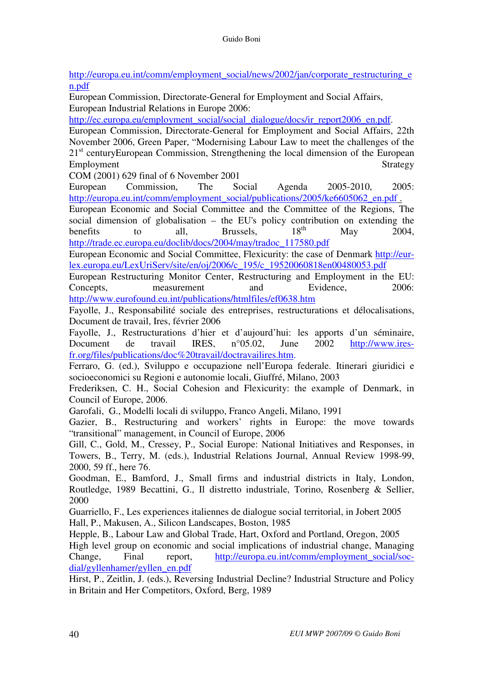http://europa.eu.int/comm/employment\_social/news/2002/jan/corporate\_restructuring\_e n.pdf

European Commission, Directorate-General for Employment and Social Affairs, European Industrial Relations in Europe 2006:

http://ec.europa.eu/employment\_social/social\_dialogue/docs/ir\_report2006\_en.pdf.

European Commission, Directorate-General for Employment and Social Affairs, 22th November 2006, Green Paper, "Modernising Labour Law to meet the challenges of the 21<sup>st</sup> centuryEuropean Commission, Strengthening the local dimension of the European Employment Strategy

COM (2001) 629 final of 6 November 2001

European Commission, The Social Agenda 2005-2010, 2005: http://europa.eu.int/comm/employment\_social/publications/2005/ke6605062\_en.pdf .

European Economic and Social Committee and the Committee of the Regions, The social dimension of globalisation – the EU's policy contribution on extending the benefits to all. Brussels  $18^{th}$  May  $2004$ benefits to all, Brussels,  $18<sup>th</sup>$  May 2004, http://trade.ec.europa.eu/doclib/docs/2004/may/tradoc\_117580.pdf

European Economic and Social Committee, Flexicurity: the case of Denmark http://eurlex.europa.eu/LexUriServ/site/en/oj/2006/c\_195/c\_19520060818en00480053.pdf

European Restructuring Monitor Center, Restructuring and Employment in the EU: Concepts, measurement and Evidence, 2006: http://www.eurofound.eu.int/publications/htmlfiles/ef0638.htm

Fayolle, J., Responsabilité sociale des entreprises, restructurations et délocalisations, Document de travail, Ires, février 2006

Fayolle, J., Restructurations d'hier et d'aujourd'hui: les apports d'un séminaire, Document de travail IRES, n°05.02, June 2002 http://www.iresfr.org/files/publications/doc%20travail/doctravailires.htm.

Ferraro, G. (ed.), Sviluppo e occupazione nell'Europa federale. Itinerari giuridici e socioeconomici su Regioni e autonomie locali, Giuffré, Milano, 2003

Frederiksen, C. H., Social Cohesion and Flexicurity: the example of Denmark, in Council of Europe, 2006.

Garofali, G., Modelli locali di sviluppo, Franco Angeli, Milano, 1991

Gazier, B., Restructuring and workers' rights in Europe: the move towards "transitional" management, in Council of Europe, 2006

Gill, C., Gold, M., Cressey, P., Social Europe: National Initiatives and Responses, in Towers, B., Terry, M. (eds.), Industrial Relations Journal, Annual Review 1998-99, 2000, 59 ff., here 76.

Goodman, E., Bamford, J., Small firms and industrial districts in Italy, London, Routledge, 1989 Becattini, G., Il distretto industriale, Torino, Rosenberg & Sellier, 2000

Guarriello, F., Les experiences italiennes de dialogue social territorial, in Jobert 2005 Hall, P., Makusen, A., Silicon Landscapes, Boston, 1985

Hepple, B., Labour Law and Global Trade, Hart, Oxford and Portland, Oregon, 2005 High level group on economic and social implications of industrial change, Managing Change, Final report, http://europa.eu.int/comm/employment social/socdial/gyllenhamer/gyllen\_en.pdf

Hirst, P., Zeitlin, J. (eds.), Reversing Industrial Decline? Industrial Structure and Policy in Britain and Her Competitors, Oxford, Berg, 1989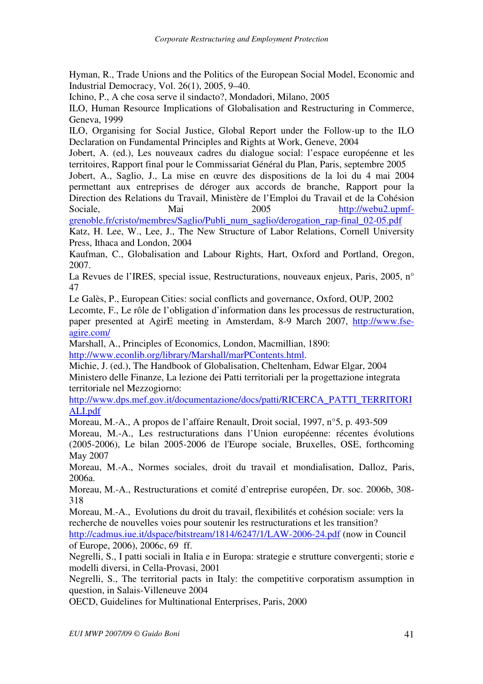Hyman, R., Trade Unions and the Politics of the European Social Model, Economic and Industrial Democracy, Vol. 26(1), 2005, 9–40.

Ichino, P., A che cosa serve il sindacto?, Mondadori, Milano, 2005

ILO, Human Resource Implications of Globalisation and Restructuring in Commerce, Geneva, 1999

ILO, Organising for Social Justice, Global Report under the Follow-up to the ILO Declaration on Fundamental Principles and Rights at Work, Geneve, 2004

Jobert, A. (ed.), Les nouveaux cadres du dialogue social: l'espace européenne et les territoires, Rapport final pour le Commissariat Général du Plan, Paris, septembre 2005

Jobert, A., Saglio, J., La mise en œuvre des dispositions de la loi du 4 mai 2004 permettant aux entreprises de déroger aux accords de branche, Rapport pour la Direction des Relations du Travail, Ministère de l'Emploi du Travail et de la Cohésion Sociale, Mai 2005 http://webu2.upmf-

grenoble.fr/cristo/membres/Saglio/Publi\_num\_saglio/derogation\_rap-final\_02-05.pdf

Katz, H. Lee, W., Lee, J., The New Structure of Labor Relations, Cornell University Press, Ithaca and London, 2004

Kaufman, C., Globalisation and Labour Rights, Hart, Oxford and Portland, Oregon, 2007.

La Revues de l'IRES, special issue, Restructurations, nouveaux enjeux, Paris, 2005, n° 47

Le Galès, P., European Cities: social conflicts and governance, Oxford, OUP, 2002

Lecomte, F., Le rôle de l'obligation d'information dans les processus de restructuration, paper presented at AgirE meeting in Amsterdam, 8-9 March 2007, http://www.fseagire.com/

Marshall, A., Principles of Economics, London, Macmillian, 1890: http://www.econlib.org/library/Marshall/marPContents.html.

Michie, J. (ed.), The Handbook of Globalisation, Cheltenham, Edwar Elgar, 2004 Ministero delle Finanze, La lezione dei Patti territoriali per la progettazione integrata territoriale nel Mezzogiorno:

http://www.dps.mef.gov.it/documentazione/docs/patti/RICERCA\_PATTI\_TERRITORI ALI.pdf

Moreau, M.-A., A propos de l'affaire Renault, Droit social, 1997, n°5, p. 493-509

Moreau, M.-A., Les restructurations dans l'Union européenne: récentes évolutions (2005-2006), Le bilan 2005-2006 de l'Europe sociale, Bruxelles, OSE, forthcoming May 2007

Moreau, M.-A., Normes sociales, droit du travail et mondialisation, Dalloz, Paris, 2006a.

Moreau, M.-A., Restructurations et comité d'entreprise européen, Dr. soc. 2006b, 308- 318

Moreau, M.-A., Evolutions du droit du travail, flexibilités et cohésion sociale: vers la recherche de nouvelles voies pour soutenir les restructurations et les transition?

http://cadmus.iue.it/dspace/bitstream/1814/6247/1/LAW-2006-24.pdf (now in Council of Europe, 2006), 2006c, 69 ff.

Negrelli, S., I patti sociali in Italia e in Europa: strategie e strutture convergenti; storie e modelli diversi, in Cella-Provasi, 2001

Negrelli, S., The territorial pacts in Italy: the competitive corporatism assumption in question, in Salais-Villeneuve 2004

OECD, Guidelines for Multinational Enterprises, Paris, 2000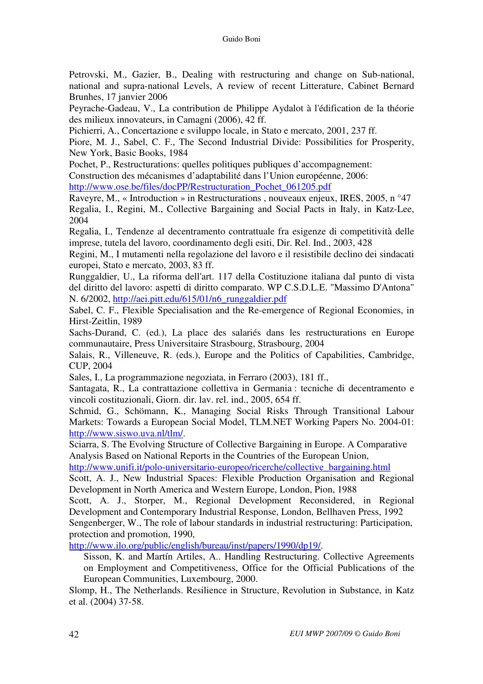Petrovski, M., Gazier, B., Dealing with restructuring and change on Sub-national, national and supra-national Levels, A review of recent Litterature, Cabinet Bernard Brunhes, 17 janvier 2006

Peyrache-Gadeau, V., La contribution de Philippe Aydalot à l'édification de la théorie des milieux innovateurs, in Camagni (2006), 42 ff.

Pichierri, A., Concertazione e sviluppo locale, in Stato e mercato, 2001, 237 ff.

Piore, M. J., Sabel, C. F., The Second Industrial Divide: Possibilities for Prosperity, New York, Basic Books, 1984

Pochet, P., Restructurations: quelles politiques publiques d'accompagnement:

Construction des mécanismes d'adaptabilité dans l'Union européenne, 2006: http://www.ose.be/files/docPP/Restructuration\_Pochet\_061205.pdf

Raveyre, M., « Introduction » in Restructurations , nouveaux enjeux, IRES, 2005, n °47 Regalia, I., Regini, M., Collective Bargaining and Social Pacts in Italy, in Katz-Lee, 2004

Regalia, I., Tendenze al decentramento contrattuale fra esigenze di competitività delle imprese, tutela del lavoro, coordinamento degli esiti, Dir. Rel. Ind., 2003, 428

Regini, M., I mutamenti nella regolazione del lavoro e il resistibile declino dei sindacati europei, Stato e mercato, 2003, 83 ff.

Runggaldier, U., La riforma dell'art. 117 della Costituzione italiana dal punto di vista del diritto del lavoro: aspetti di diritto comparato. WP C.S.D.L.E. "Massimo D'Antona" N. 6/2002, http://aei.pitt.edu/615/01/n6\_runggaldier.pdf

Sabel, C. F., Flexible Specialisation and the Re-emergence of Regional Economies, in Hirst-Zeitlin, 1989

Sachs-Durand, C. (ed.), La place des salariés dans les restructurations en Europe communautaire, Press Universitaire Strasbourg, Strasbourg, 2004

Salais, R., Villeneuve, R. (eds.), Europe and the Politics of Capabilities, Cambridge, CUP, 2004

Sales, I., La programmazione negoziata, in Ferraro (2003), 181 ff.,

Santagata, R., La contrattazione collettiva in Germania : tecniche di decentramento e vincoli costituzionali, Giorn. dir. lav. rel. ind., 2005, 654 ff.

Schmid, G., Schömann, K., Managing Social Risks Through Transitional Labour Markets: Towards a European Social Model, TLM.NET Working Papers No. 2004-01: http://www.siswo.uva.nl/tlm/.

Sciarra, S. The Evolving Structure of Collective Bargaining in Europe. A Comparative Analysis Based on National Reports in the Countries of the European Union,

http://www.unifi.it/polo-universitario-europeo/ricerche/collective\_bargaining.html

Scott, A. J., New Industrial Spaces: Flexible Production Organisation and Regional Development in North America and Western Europe, London, Pion, 1988

Scott, A. J., Storper, M., Regional Development Reconsidered, in Regional Development and Contemporary Industrial Response, London, Bellhaven Press, 1992

Sengenberger, W., The role of labour standards in industrial restructuring: Participation, protection and promotion, 1990,

http://www.ilo.org/public/english/bureau/inst/papers/1990/dp19/.

Sisson, K. and Martín Artiles, A.. Handling Restructuring. Collective Agreements on Employment and Competitiveness, Office for the Official Publications of the European Communities, Luxembourg, 2000.

Slomp, H., The Netherlands. Resilience in Structure, Revolution in Substance, in Katz et al. (2004) 37-58.